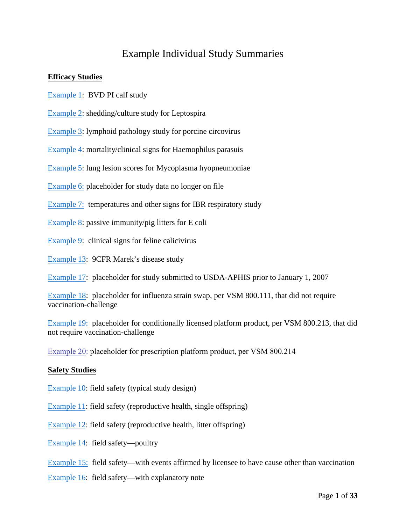## Example Individual Study Summaries

#### **Efficacy Studies**

- [Example 1:](#page-2-0) BVD PI calf study
- [Example 2](#page-2-1): shedding/culture study for Leptospira

[Example 3:](#page-3-0) lymphoid pathology study for porcine circovirus

[Example 4:](#page-5-0) mortality/clinical signs for Haemophilus parasuis

[Example 5:](#page-9-0) lung lesion scores for Mycoplasma hyopneumoniae

[Example 6:](#page-9-0) placeholder for study data no longer on file

- [Example 7:](#page-10-0) temperatures and other signs for IBR respiratory study
- [Example 8](#page-13-0): passive immunity/pig litters for E coli
- [Example 9](#page-14-0): clinical signs for feline calicivirus

[Example 13:](#page-22-0) 9CFR Marek's disease study

[Example 17:](#page-29-0) placeholder for study submitted to USDA-APHIS prior to January 1, 2007

[Example 18:](#page-30-0) placeholder for influenza strain swap, per VSM 800.111, that did not require vaccination-challenge

[Example 19:](#page-31-0) placeholder for conditionally licensed platform product, per VSM 800.213, that did not require vaccination-challenge

[Example 20:](#page-32-0) placeholder for prescription platform product, per VSM 800.214

#### **[Safety Stu](#page-15-0)dies**

[Example 10](#page-17-0): field safety (typical study design)

[Example 11](#page-18-0): field safety (reproductive health, single offspring)

[Example 12:](#page-25-0) field safety (reproductive health, litter offspring)

- [Example 14:](#page-27-0) field safety—poultry
- [Example 15:](#page-28-0) field safety—with events affirmed by licensee to have cause other than vaccination
- Example 16: field safety—with explanatory note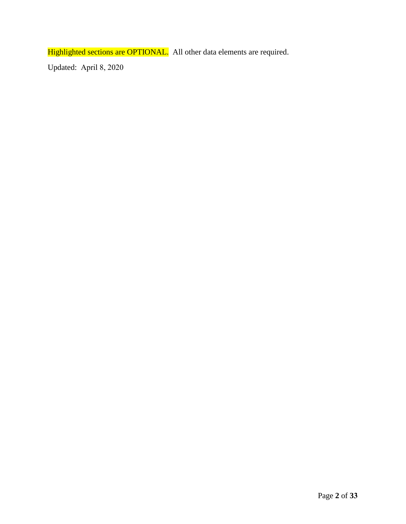Highlighted sections are OPTIONAL. All other data elements are required.

Updated: April 8, 2020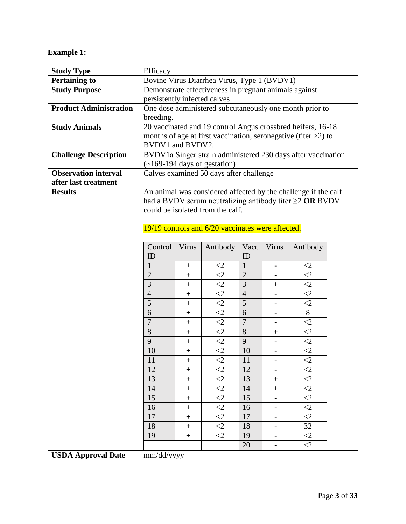## <span id="page-2-0"></span>**Example 1:**

<span id="page-2-1"></span>

| <b>Study Type</b>             | Efficacy                                                          |                  |                                                   |                |                          |                                                                    |  |  |  |  |  |
|-------------------------------|-------------------------------------------------------------------|------------------|---------------------------------------------------|----------------|--------------------------|--------------------------------------------------------------------|--|--|--|--|--|
| <b>Pertaining to</b>          | Bovine Virus Diarrhea Virus, Type 1 (BVDV1)                       |                  |                                                   |                |                          |                                                                    |  |  |  |  |  |
| <b>Study Purpose</b>          | Demonstrate effectiveness in pregnant animals against             |                  |                                                   |                |                          |                                                                    |  |  |  |  |  |
|                               | persistently infected calves                                      |                  |                                                   |                |                          |                                                                    |  |  |  |  |  |
| <b>Product Administration</b> | One dose administered subcutaneously one month prior to           |                  |                                                   |                |                          |                                                                    |  |  |  |  |  |
|                               | breeding.                                                         |                  |                                                   |                |                          |                                                                    |  |  |  |  |  |
| <b>Study Animals</b>          | 20 vaccinated and 19 control Angus crossbred heifers, 16-18       |                  |                                                   |                |                          |                                                                    |  |  |  |  |  |
|                               | months of age at first vaccination, seronegative (titer $>2$ ) to |                  |                                                   |                |                          |                                                                    |  |  |  |  |  |
|                               | BVDV1 and BVDV2.                                                  |                  |                                                   |                |                          |                                                                    |  |  |  |  |  |
| <b>Challenge Description</b>  | BVDV1a Singer strain administered 230 days after vaccination      |                  |                                                   |                |                          |                                                                    |  |  |  |  |  |
|                               | $(-169-194$ days of gestation)                                    |                  |                                                   |                |                          |                                                                    |  |  |  |  |  |
| <b>Observation interval</b>   |                                                                   |                  | Calves examined 50 days after challenge           |                |                          |                                                                    |  |  |  |  |  |
| after last treatment          |                                                                   |                  |                                                   |                |                          |                                                                    |  |  |  |  |  |
| <b>Results</b>                |                                                                   |                  |                                                   |                |                          | An animal was considered affected by the challenge if the calf     |  |  |  |  |  |
|                               |                                                                   |                  |                                                   |                |                          | had a BVDV serum neutralizing antibody titer $\geq$ <b>OR</b> BVDV |  |  |  |  |  |
|                               |                                                                   |                  | could be isolated from the calf.                  |                |                          |                                                                    |  |  |  |  |  |
|                               |                                                                   |                  |                                                   |                |                          |                                                                    |  |  |  |  |  |
|                               |                                                                   |                  | 19/19 controls and 6/20 vaccinates were affected. |                |                          |                                                                    |  |  |  |  |  |
|                               | Control                                                           | Virus            | Antibody                                          | Vacc           | Virus                    | Antibody                                                           |  |  |  |  |  |
|                               | ID                                                                |                  |                                                   | ID             |                          |                                                                    |  |  |  |  |  |
|                               | 1                                                                 | $\boldsymbol{+}$ | $\leq$ 2                                          | 1              | $\overline{\phantom{0}}$ | $\leq$ 2                                                           |  |  |  |  |  |
|                               | $\overline{2}$                                                    | $\! + \!$        | $\langle 2$                                       | $\overline{2}$ |                          | $\langle 2 \rangle$                                                |  |  |  |  |  |
|                               | 3                                                                 | $\! + \!$        | $\leq$ 2                                          | 3              | $^{+}$                   | $\overline{c}$                                                     |  |  |  |  |  |
|                               | $\overline{4}$                                                    | $^{+}$           | $\langle 2$                                       | $\overline{4}$ |                          | $\leq$ 2                                                           |  |  |  |  |  |
|                               | 5                                                                 | $\! + \!$        | $\langle 2$                                       | 5              |                          | $\leq$ 2                                                           |  |  |  |  |  |
|                               | 6                                                                 | $^{+}$           | $\leq$ 2                                          | 6              | $\overline{\phantom{0}}$ | $8\phantom{.}$                                                     |  |  |  |  |  |
|                               | $\overline{7}$                                                    | $\! +$           | $\langle 2$                                       | $\overline{7}$ |                          | $\leq$ 2                                                           |  |  |  |  |  |
|                               | 8                                                                 | $^+$             | $\leq$ 2                                          | 8              | $^{+}$                   | $\leq$ 2                                                           |  |  |  |  |  |
|                               | 9                                                                 | $\! + \!$        | $\leq$ 2                                          | 9              | $\overline{\phantom{0}}$ | $\leq$ 2                                                           |  |  |  |  |  |
|                               | 10                                                                | $^{+}$           | $\leq$ 2                                          | 10             |                          | $\leq$ 2                                                           |  |  |  |  |  |
|                               | 11                                                                | $^{+}$           | $\leq$ 2                                          | 11             |                          | $\overline{2}$                                                     |  |  |  |  |  |
|                               | 12                                                                |                  | $\leq$ 2                                          | 12             |                          | $\leq$ 2                                                           |  |  |  |  |  |
|                               | 13                                                                | $^{+}$           | $\leq$ 2                                          | 13             | $+$                      | $\leq$ 2                                                           |  |  |  |  |  |
|                               | 14                                                                | $\boldsymbol{+}$ | $\leq$ 2                                          | 14             | $+$                      | $\leq$ 2                                                           |  |  |  |  |  |
|                               | 15                                                                | $\boldsymbol{+}$ | $\langle 2$                                       | 15             |                          | $\overline{2}$                                                     |  |  |  |  |  |
|                               | 16                                                                | $\! +$           | $\overline{2}$                                    | 16             | $\overline{\phantom{0}}$ | $\overline{2}$                                                     |  |  |  |  |  |
|                               | 17                                                                | $\ddot{}$        | $\langle 2$                                       | 17             |                          | $\leq$ 2                                                           |  |  |  |  |  |
|                               | 18                                                                | $\boldsymbol{+}$ | $\leq$ 2                                          | 18             | $\overline{\phantom{0}}$ | 32                                                                 |  |  |  |  |  |
|                               | 19                                                                | $^{+}$           | $\leq$ 2                                          | 19             | $\overline{\phantom{a}}$ | $\leq$ 2                                                           |  |  |  |  |  |
|                               |                                                                   |                  |                                                   | 20             |                          | $\leq$ 2                                                           |  |  |  |  |  |
| <b>USDA Approval Date</b>     | mm/dd/yyyy                                                        |                  |                                                   |                |                          |                                                                    |  |  |  |  |  |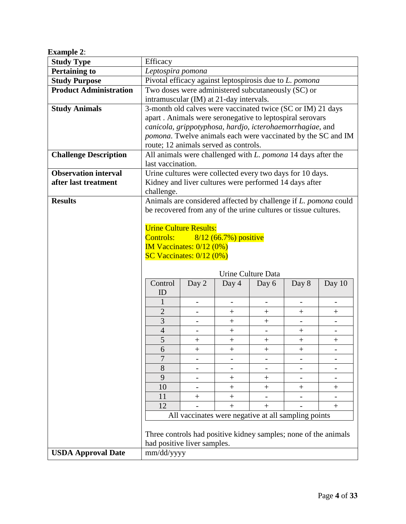| <b>Example 2:</b> |
|-------------------|
|-------------------|

<span id="page-3-0"></span>

| шлингртс т                    |                                                                                               |                          |                                                                     |                    |                    |                                                                 |  |  |  |  |  |  |
|-------------------------------|-----------------------------------------------------------------------------------------------|--------------------------|---------------------------------------------------------------------|--------------------|--------------------|-----------------------------------------------------------------|--|--|--|--|--|--|
| <b>Study Type</b>             | Efficacy                                                                                      |                          |                                                                     |                    |                    |                                                                 |  |  |  |  |  |  |
| <b>Pertaining to</b>          | Leptospira pomona<br>Pivotal efficacy against leptospirosis due to L. pomona                  |                          |                                                                     |                    |                    |                                                                 |  |  |  |  |  |  |
| <b>Study Purpose</b>          |                                                                                               |                          |                                                                     |                    |                    |                                                                 |  |  |  |  |  |  |
| <b>Product Administration</b> | Two doses were administered subcutaneously (SC) or<br>intramuscular (IM) at 21-day intervals. |                          |                                                                     |                    |                    |                                                                 |  |  |  |  |  |  |
| <b>Study Animals</b>          | 3-month old calves were vaccinated twice (SC or IM) 21 days                                   |                          |                                                                     |                    |                    |                                                                 |  |  |  |  |  |  |
|                               |                                                                                               |                          | apart. Animals were seronegative to leptospiral serovars            |                    |                    |                                                                 |  |  |  |  |  |  |
|                               | canicola, grippotyphosa, hardjo, icterohaemorrhagiae, and                                     |                          |                                                                     |                    |                    |                                                                 |  |  |  |  |  |  |
|                               |                                                                                               |                          |                                                                     |                    |                    | pomona. Twelve animals each were vaccinated by the SC and IM    |  |  |  |  |  |  |
|                               | route; 12 animals served as controls.                                                         |                          |                                                                     |                    |                    |                                                                 |  |  |  |  |  |  |
| <b>Challenge Description</b>  |                                                                                               |                          | All animals were challenged with <i>L. pomona</i> 14 days after the |                    |                    |                                                                 |  |  |  |  |  |  |
|                               | last vaccination.                                                                             |                          |                                                                     |                    |                    |                                                                 |  |  |  |  |  |  |
| <b>Observation interval</b>   |                                                                                               |                          | Urine cultures were collected every two days for 10 days.           |                    |                    |                                                                 |  |  |  |  |  |  |
| after last treatment          |                                                                                               |                          | Kidney and liver cultures were performed 14 days after              |                    |                    |                                                                 |  |  |  |  |  |  |
|                               | challenge.                                                                                    |                          |                                                                     |                    |                    |                                                                 |  |  |  |  |  |  |
| <b>Results</b>                |                                                                                               |                          |                                                                     |                    |                    | Animals are considered affected by challenge if L. pomona could |  |  |  |  |  |  |
|                               |                                                                                               |                          | be recovered from any of the urine cultures or tissue cultures.     |                    |                    |                                                                 |  |  |  |  |  |  |
|                               |                                                                                               |                          |                                                                     |                    |                    |                                                                 |  |  |  |  |  |  |
|                               | <b>Urine Culture Results:</b>                                                                 |                          |                                                                     |                    |                    |                                                                 |  |  |  |  |  |  |
|                               |                                                                                               |                          | Controls: $\frac{8}{12}$ (66.7%) positive                           |                    |                    |                                                                 |  |  |  |  |  |  |
|                               | <b>IM Vaccinates:</b> $0/12$ $(0\%)$                                                          |                          |                                                                     |                    |                    |                                                                 |  |  |  |  |  |  |
|                               | SC Vaccinates: $0/12$ $(0%)$                                                                  |                          |                                                                     |                    |                    |                                                                 |  |  |  |  |  |  |
|                               |                                                                                               |                          |                                                                     |                    |                    |                                                                 |  |  |  |  |  |  |
|                               | Control                                                                                       |                          |                                                                     | Urine Culture Data |                    |                                                                 |  |  |  |  |  |  |
|                               | ID                                                                                            | Day 2                    | Day 4                                                               | Day 6              | Day 8              | Day $10$                                                        |  |  |  |  |  |  |
|                               | 1                                                                                             | $\overline{\phantom{a}}$ | $\qquad \qquad \blacksquare$                                        | $\qquad \qquad -$  | $\qquad \qquad -$  | $\overline{\phantom{a}}$                                        |  |  |  |  |  |  |
|                               | $\overline{2}$                                                                                |                          | $^{+}$                                                              | $^{+}$             | $^{+}$             | $^{+}$                                                          |  |  |  |  |  |  |
|                               | 3                                                                                             | $\overline{\phantom{a}}$ | $^{+}$                                                              | $+$                |                    |                                                                 |  |  |  |  |  |  |
|                               | $\overline{4}$                                                                                |                          | $^{+}$                                                              |                    | $\hspace{0.1mm} +$ |                                                                 |  |  |  |  |  |  |
|                               | 5                                                                                             | $^{+}$                   |                                                                     | $\! + \!$          | $\boldsymbol{+}$   | $\boldsymbol{+}$                                                |  |  |  |  |  |  |
|                               | 6                                                                                             | $^{+}$                   | $+$                                                                 | $+$                | $^{+}$             |                                                                 |  |  |  |  |  |  |
|                               | 7                                                                                             |                          | $\qquad \qquad -$                                                   |                    |                    |                                                                 |  |  |  |  |  |  |
|                               | 8                                                                                             |                          |                                                                     |                    |                    |                                                                 |  |  |  |  |  |  |
|                               | 9                                                                                             |                          | $^{+}$                                                              | $^{+}$             |                    |                                                                 |  |  |  |  |  |  |
|                               | 10                                                                                            |                          | $^{+}$                                                              | $^{+}$             | $^{+}$             | $^{+}$                                                          |  |  |  |  |  |  |
|                               | 11                                                                                            | $\hspace{0.1mm} +$       | $^{+}$                                                              |                    |                    |                                                                 |  |  |  |  |  |  |
|                               | 12                                                                                            |                          | $+$                                                                 | $+$                |                    | $\boldsymbol{+}$                                                |  |  |  |  |  |  |
|                               |                                                                                               |                          | All vaccinates were negative at all sampling points                 |                    |                    |                                                                 |  |  |  |  |  |  |
|                               |                                                                                               |                          | Three controls had positive kidney samples; none of the animals     |                    |                    |                                                                 |  |  |  |  |  |  |
|                               | had positive liver samples.                                                                   |                          |                                                                     |                    |                    |                                                                 |  |  |  |  |  |  |
| <b>USDA Approval Date</b>     |                                                                                               |                          |                                                                     |                    |                    |                                                                 |  |  |  |  |  |  |
|                               | mm/dd/yyyy                                                                                    |                          |                                                                     |                    |                    |                                                                 |  |  |  |  |  |  |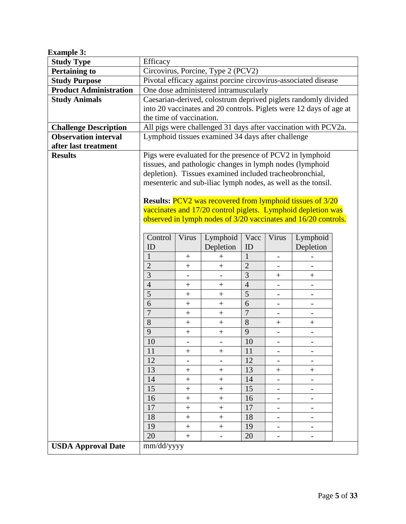| <b>Example 3:</b>             |                                                                                                                      |                  |                                                                  |                |                          |                          |  |  |  |  |  |  |
|-------------------------------|----------------------------------------------------------------------------------------------------------------------|------------------|------------------------------------------------------------------|----------------|--------------------------|--------------------------|--|--|--|--|--|--|
| <b>Study Type</b>             | Efficacy                                                                                                             |                  |                                                                  |                |                          |                          |  |  |  |  |  |  |
| <b>Pertaining to</b>          | Circovirus, Porcine, Type 2 (PCV2)                                                                                   |                  |                                                                  |                |                          |                          |  |  |  |  |  |  |
| <b>Study Purpose</b>          | Pivotal efficacy against porcine circovirus-associated disease                                                       |                  |                                                                  |                |                          |                          |  |  |  |  |  |  |
| <b>Product Administration</b> | One dose administered intramuscularly                                                                                |                  |                                                                  |                |                          |                          |  |  |  |  |  |  |
| <b>Study Animals</b>          | Caesarian-derived, colostrum deprived piglets randomly divided                                                       |                  |                                                                  |                |                          |                          |  |  |  |  |  |  |
|                               | into 20 vaccinates and 20 controls. Piglets were 12 days of age at                                                   |                  |                                                                  |                |                          |                          |  |  |  |  |  |  |
|                               | the time of vaccination.                                                                                             |                  |                                                                  |                |                          |                          |  |  |  |  |  |  |
| <b>Challenge Description</b>  | All pigs were challenged 31 days after vaccination with PCV2a.                                                       |                  |                                                                  |                |                          |                          |  |  |  |  |  |  |
| <b>Observation interval</b>   | Lymphoid tissues examined 34 days after challenge                                                                    |                  |                                                                  |                |                          |                          |  |  |  |  |  |  |
| after last treatment          |                                                                                                                      |                  |                                                                  |                |                          |                          |  |  |  |  |  |  |
| <b>Results</b>                | Pigs were evaluated for the presence of PCV2 in lymphoid<br>tissues, and pathologic changes in lymph nodes (lymphoid |                  |                                                                  |                |                          |                          |  |  |  |  |  |  |
|                               |                                                                                                                      |                  |                                                                  |                |                          |                          |  |  |  |  |  |  |
|                               |                                                                                                                      |                  | depletion). Tissues examined included tracheobronchial,          |                |                          |                          |  |  |  |  |  |  |
|                               |                                                                                                                      |                  | mesenteric and sub-iliac lymph nodes, as well as the tonsil.     |                |                          |                          |  |  |  |  |  |  |
|                               |                                                                                                                      |                  |                                                                  |                |                          |                          |  |  |  |  |  |  |
|                               |                                                                                                                      |                  | <b>Results:</b> PCV2 was recovered from lymphoid tissues of 3/20 |                |                          |                          |  |  |  |  |  |  |
|                               |                                                                                                                      |                  | vaccinates and 17/20 control piglets. Lymphoid depletion was     |                |                          |                          |  |  |  |  |  |  |
|                               |                                                                                                                      |                  | observed in lymph nodes of 3/20 vaccinates and 16/20 controls.   |                |                          |                          |  |  |  |  |  |  |
|                               | Control                                                                                                              | Virus            | Lymphoid                                                         | Vacc           | Virus                    | Lymphoid                 |  |  |  |  |  |  |
|                               | ID                                                                                                                   |                  | Depletion                                                        | ID             |                          | Depletion                |  |  |  |  |  |  |
|                               | $\mathbf{1}$                                                                                                         | $\! + \!\!\!\!$  | $^{+}$                                                           | $\mathbf{1}$   |                          |                          |  |  |  |  |  |  |
|                               | $\overline{2}$                                                                                                       | $\boldsymbol{+}$ | $\! + \!$                                                        | $\overline{2}$ |                          |                          |  |  |  |  |  |  |
|                               | $\overline{3}$                                                                                                       |                  |                                                                  | $\overline{3}$ | $^{+}$                   | $^{+}$                   |  |  |  |  |  |  |
|                               | $\overline{4}$                                                                                                       | $\boldsymbol{+}$ | $\boldsymbol{+}$                                                 | $\overline{4}$ | $\qquad \qquad -$        |                          |  |  |  |  |  |  |
|                               | 5                                                                                                                    | $^{+}$           | $^{+}$                                                           | 5              | -                        |                          |  |  |  |  |  |  |
|                               | 6                                                                                                                    | $^{+}$           |                                                                  | 6              |                          |                          |  |  |  |  |  |  |
|                               | $\overline{7}$                                                                                                       | $^{+}$           | $^{+}$                                                           | $\overline{7}$ | $\overline{\phantom{0}}$ | $\overline{\phantom{0}}$ |  |  |  |  |  |  |
|                               | 8                                                                                                                    | $\boldsymbol{+}$ | $^{+}$                                                           | 8              | $^{+}$                   | $^{+}$                   |  |  |  |  |  |  |
|                               | 9                                                                                                                    | $\! + \!$        | $\! + \!$                                                        | 9              |                          |                          |  |  |  |  |  |  |
|                               | 10                                                                                                                   |                  |                                                                  | 10             |                          |                          |  |  |  |  |  |  |
|                               | 11                                                                                                                   | $^{+}$           | $^{+}$                                                           | 11             |                          |                          |  |  |  |  |  |  |
|                               | 12                                                                                                                   |                  |                                                                  | 12             |                          |                          |  |  |  |  |  |  |
|                               | 13                                                                                                                   | $\! + \!\!\!\!$  | $\boldsymbol{+}$                                                 | 13             | $^{+}$                   | $^{+}$                   |  |  |  |  |  |  |
|                               | 14                                                                                                                   | $\ddot{}$        | $\ddot{}$                                                        | 14             |                          |                          |  |  |  |  |  |  |
|                               | 15                                                                                                                   | $\boldsymbol{+}$ | $^{+}$                                                           | 15             | $\qquad \qquad -$        | $\qquad \qquad -$        |  |  |  |  |  |  |
|                               | 16                                                                                                                   | $^{+}$           | $^{+}$                                                           | 16             |                          |                          |  |  |  |  |  |  |
|                               | 17                                                                                                                   | $\boldsymbol{+}$ | $\boldsymbol{+}$                                                 | 17             |                          | $\overline{\phantom{0}}$ |  |  |  |  |  |  |
|                               | 18                                                                                                                   | $^{+}$           | $+$                                                              | 18             | $\overline{\phantom{0}}$ | $\overline{\phantom{0}}$ |  |  |  |  |  |  |
|                               | 19                                                                                                                   | $\boldsymbol{+}$ | $\boldsymbol{+}$                                                 | 19             |                          |                          |  |  |  |  |  |  |
|                               | 20                                                                                                                   | $+$              | $\overline{\phantom{0}}$                                         | 20             | $\overline{\phantom{0}}$ | $\blacksquare$           |  |  |  |  |  |  |
| <b>USDA Approval Date</b>     | mm/dd/yyyy                                                                                                           |                  |                                                                  |                |                          |                          |  |  |  |  |  |  |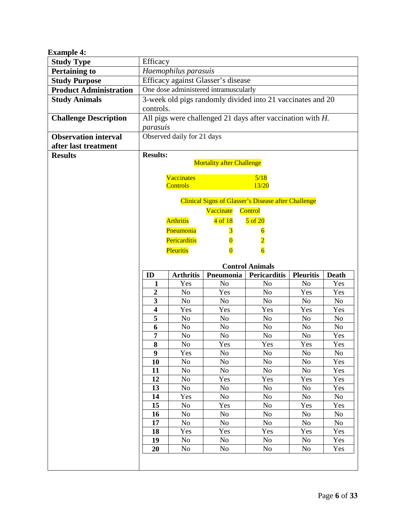<span id="page-5-0"></span>

| <b>Example 4:</b>             |                            |                                                               |                                  |                                                            |                  |                |  |  |  |  |  |  |  |
|-------------------------------|----------------------------|---------------------------------------------------------------|----------------------------------|------------------------------------------------------------|------------------|----------------|--|--|--|--|--|--|--|
| <b>Study Type</b>             | Efficacy                   |                                                               |                                  |                                                            |                  |                |  |  |  |  |  |  |  |
| <b>Pertaining to</b>          |                            | Haemophilus parasuis<br>Efficacy against Glasser's disease    |                                  |                                                            |                  |                |  |  |  |  |  |  |  |
| <b>Study Purpose</b>          |                            |                                                               |                                  |                                                            |                  |                |  |  |  |  |  |  |  |
| <b>Product Administration</b> |                            | One dose administered intramuscularly                         |                                  |                                                            |                  |                |  |  |  |  |  |  |  |
| <b>Study Animals</b>          |                            | 3-week old pigs randomly divided into 21 vaccinates and 20    |                                  |                                                            |                  |                |  |  |  |  |  |  |  |
|                               | controls.                  |                                                               |                                  |                                                            |                  |                |  |  |  |  |  |  |  |
| <b>Challenge Description</b>  |                            | All pigs were challenged 21 days after vaccination with $H$ . |                                  |                                                            |                  |                |  |  |  |  |  |  |  |
|                               |                            | parasuis                                                      |                                  |                                                            |                  |                |  |  |  |  |  |  |  |
| <b>Observation interval</b>   | Observed daily for 21 days |                                                               |                                  |                                                            |                  |                |  |  |  |  |  |  |  |
| after last treatment          |                            |                                                               |                                  |                                                            |                  |                |  |  |  |  |  |  |  |
| <b>Results</b>                | <b>Results:</b>            |                                                               |                                  |                                                            |                  |                |  |  |  |  |  |  |  |
|                               |                            |                                                               | <b>Mortality after Challenge</b> |                                                            |                  |                |  |  |  |  |  |  |  |
|                               |                            | <b>Vaccinates</b>                                             |                                  |                                                            |                  |                |  |  |  |  |  |  |  |
|                               |                            | <b>Controls</b>                                               |                                  | 5/18<br>13/20                                              |                  |                |  |  |  |  |  |  |  |
|                               |                            |                                                               |                                  |                                                            |                  |                |  |  |  |  |  |  |  |
|                               |                            |                                                               |                                  | <b>Clinical Signs of Glasser's Disease after Challenge</b> |                  |                |  |  |  |  |  |  |  |
|                               |                            |                                                               | Vaccinate                        | Control                                                    |                  |                |  |  |  |  |  |  |  |
|                               |                            | <b>Arthritis</b>                                              | $4$ of $18$                      | $5$ of $20$                                                |                  |                |  |  |  |  |  |  |  |
|                               |                            | Pneumonia                                                     | $\overline{\mathbf{3}}$          | $\overline{6}$                                             |                  |                |  |  |  |  |  |  |  |
|                               |                            | Pericarditis                                                  |                                  | $\overline{2}$                                             |                  |                |  |  |  |  |  |  |  |
|                               |                            | Pleuritis                                                     |                                  | $\overline{6}$                                             |                  |                |  |  |  |  |  |  |  |
|                               |                            |                                                               |                                  |                                                            |                  |                |  |  |  |  |  |  |  |
|                               |                            |                                                               |                                  |                                                            |                  |                |  |  |  |  |  |  |  |
|                               |                            |                                                               |                                  | <b>Control Animals</b>                                     |                  |                |  |  |  |  |  |  |  |
|                               | ID                         | <b>Arthritis</b>                                              | Pneumonia                        | <b>Pericarditis</b>                                        | <b>Pleuritis</b> | <b>Death</b>   |  |  |  |  |  |  |  |
|                               | 1                          | Yes                                                           | N <sub>o</sub>                   | N <sub>0</sub>                                             | N <sub>0</sub>   | Yes            |  |  |  |  |  |  |  |
|                               | $\boldsymbol{2}$           | N <sub>o</sub>                                                | Yes                              | N <sub>o</sub>                                             | Yes              | Yes            |  |  |  |  |  |  |  |
|                               | $\mathbf{3}$               | N <sub>o</sub>                                                | No                               | No                                                         | No.              | N <sub>o</sub> |  |  |  |  |  |  |  |
|                               | $\overline{\mathbf{4}}$    | Yes                                                           | Yes                              | Yes                                                        | Yes              | Yes            |  |  |  |  |  |  |  |
|                               | 5                          | N <sub>o</sub>                                                | No                               | N <sub>o</sub>                                             | No               | N <sub>o</sub> |  |  |  |  |  |  |  |
|                               | 6                          | N <sub>o</sub>                                                | No                               | No                                                         | No.              | N <sub>o</sub> |  |  |  |  |  |  |  |
|                               | 7                          | N <sub>o</sub>                                                | N <sub>o</sub>                   | N <sub>0</sub>                                             | No               | Yes            |  |  |  |  |  |  |  |
|                               | 8                          | N <sub>0</sub>                                                | Yes                              | Yes                                                        | Yes              | Yes            |  |  |  |  |  |  |  |
|                               | $\boldsymbol{9}$           | Yes                                                           | N <sub>o</sub>                   | No                                                         | No               | No             |  |  |  |  |  |  |  |
|                               | 10                         | N <sub>o</sub>                                                | N <sub>o</sub>                   | N <sub>o</sub>                                             | No               | Yes            |  |  |  |  |  |  |  |
|                               | 11                         | No                                                            | No                               | N <sub>0</sub>                                             | No               | Yes            |  |  |  |  |  |  |  |
|                               | 12                         | No                                                            | Yes                              | Yes                                                        | Yes              | Yes            |  |  |  |  |  |  |  |
|                               | 13                         | No                                                            | N <sub>0</sub>                   | N <sub>0</sub>                                             | No               | Yes            |  |  |  |  |  |  |  |
|                               | 14                         | Yes                                                           | N <sub>0</sub>                   | No                                                         | No               | $\rm No$       |  |  |  |  |  |  |  |
|                               | 15                         | No                                                            | Yes                              | No                                                         | Yes              | Yes            |  |  |  |  |  |  |  |
|                               | 16                         | N <sub>o</sub>                                                | No                               | N <sub>0</sub>                                             | No               | No             |  |  |  |  |  |  |  |
|                               | 17                         | No                                                            | No                               | No                                                         | No               | N <sub>o</sub> |  |  |  |  |  |  |  |
|                               | 18                         | Yes                                                           | Yes                              | Yes                                                        | Yes              | Yes            |  |  |  |  |  |  |  |
|                               | 19<br>20                   | No<br>No                                                      | No<br>No                         | No<br>No                                                   | No<br>No         | Yes<br>Yes     |  |  |  |  |  |  |  |
|                               |                            |                                                               |                                  |                                                            |                  |                |  |  |  |  |  |  |  |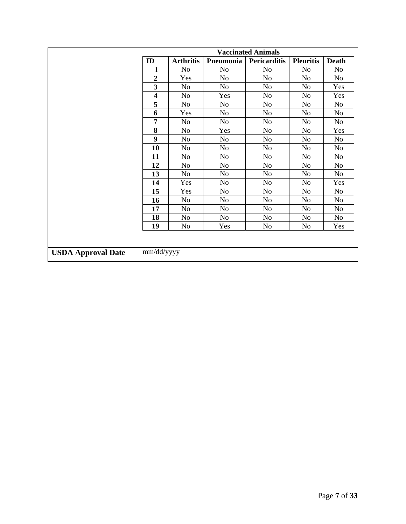|                           | <b>Vaccinated Animals</b> |                  |                |                     |                  |                |  |  |  |  |  |
|---------------------------|---------------------------|------------------|----------------|---------------------|------------------|----------------|--|--|--|--|--|
|                           | ID                        | <b>Arthritis</b> | Pneumonia      | <b>Pericarditis</b> | <b>Pleuritis</b> | <b>Death</b>   |  |  |  |  |  |
|                           | 1                         | N <sub>o</sub>   | N <sub>o</sub> | No                  | N <sub>0</sub>   | N <sub>o</sub> |  |  |  |  |  |
|                           | $\overline{2}$            | Yes              | N <sub>o</sub> | N <sub>o</sub>      | N <sub>0</sub>   | N <sub>o</sub> |  |  |  |  |  |
|                           | 3                         | N <sub>o</sub>   | N <sub>o</sub> | N <sub>o</sub>      | N <sub>0</sub>   | Yes            |  |  |  |  |  |
|                           | $\overline{\mathbf{4}}$   | N <sub>o</sub>   | Yes            | N <sub>o</sub>      | N <sub>0</sub>   | Yes            |  |  |  |  |  |
|                           | 5                         | No               | N <sub>o</sub> | N <sub>o</sub>      | No               | No             |  |  |  |  |  |
|                           | 6                         | Yes              | N <sub>o</sub> | N <sub>o</sub>      | N <sub>o</sub>   | N <sub>o</sub> |  |  |  |  |  |
|                           | 7                         | No               | N <sub>o</sub> | N <sub>o</sub>      | N <sub>o</sub>   | N <sub>o</sub> |  |  |  |  |  |
|                           | 8                         | N <sub>o</sub>   | Yes            | N <sub>o</sub>      | N <sub>o</sub>   | Yes            |  |  |  |  |  |
|                           | 9                         | N <sub>o</sub>   | N <sub>o</sub> | N <sub>o</sub>      | N <sub>0</sub>   | No             |  |  |  |  |  |
|                           | 10                        | N <sub>o</sub>   | N <sub>o</sub> | N <sub>o</sub>      | N <sub>0</sub>   | N <sub>o</sub> |  |  |  |  |  |
|                           | 11                        | N <sub>o</sub>   | N <sub>o</sub> | N <sub>o</sub>      | N <sub>0</sub>   | N <sub>o</sub> |  |  |  |  |  |
|                           | 12                        | N <sub>o</sub>   | N <sub>o</sub> | N <sub>o</sub>      | N <sub>0</sub>   | N <sub>o</sub> |  |  |  |  |  |
|                           | 13                        | N <sub>o</sub>   | N <sub>o</sub> | N <sub>o</sub>      | N <sub>0</sub>   | N <sub>o</sub> |  |  |  |  |  |
|                           | 14                        | Yes              | N <sub>o</sub> | N <sub>o</sub>      | N <sub>0</sub>   | Yes            |  |  |  |  |  |
|                           | 15                        | Yes              | N <sub>o</sub> | N <sub>o</sub>      | N <sub>0</sub>   | N <sub>o</sub> |  |  |  |  |  |
|                           | 16                        | N <sub>o</sub>   | N <sub>o</sub> | N <sub>o</sub>      | N <sub>0</sub>   | N <sub>o</sub> |  |  |  |  |  |
|                           | 17                        | N <sub>o</sub>   | No             | N <sub>o</sub>      | N <sub>0</sub>   | N <sub>o</sub> |  |  |  |  |  |
|                           | 18                        | N <sub>o</sub>   | N <sub>o</sub> | N <sub>o</sub>      | N <sub>o</sub>   | No             |  |  |  |  |  |
|                           | 19                        | N <sub>o</sub>   | Yes            | No                  | No               | Yes            |  |  |  |  |  |
|                           |                           |                  |                |                     |                  |                |  |  |  |  |  |
| <b>USDA Approval Date</b> | mm/dd/yyyy                |                  |                |                     |                  |                |  |  |  |  |  |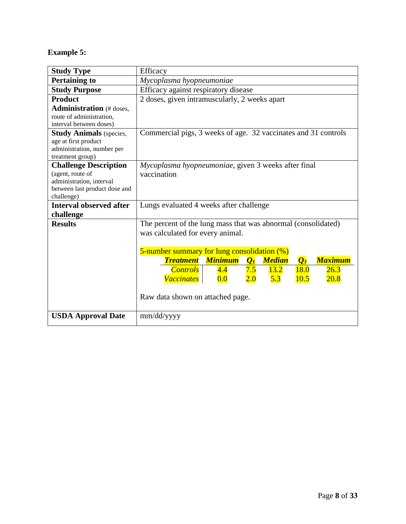## **Example 5:**

| <b>Study Type</b>                                                                                                           | Efficacy                                                                                                                                                                                                                                                                                                                                                                                                                           |  |  |  |  |  |  |  |  |  |  |
|-----------------------------------------------------------------------------------------------------------------------------|------------------------------------------------------------------------------------------------------------------------------------------------------------------------------------------------------------------------------------------------------------------------------------------------------------------------------------------------------------------------------------------------------------------------------------|--|--|--|--|--|--|--|--|--|--|
| <b>Pertaining to</b>                                                                                                        | Mycoplasma hyopneumoniae                                                                                                                                                                                                                                                                                                                                                                                                           |  |  |  |  |  |  |  |  |  |  |
| <b>Study Purpose</b>                                                                                                        | Efficacy against respiratory disease                                                                                                                                                                                                                                                                                                                                                                                               |  |  |  |  |  |  |  |  |  |  |
| <b>Product</b>                                                                                                              | 2 doses, given intramuscularly, 2 weeks apart                                                                                                                                                                                                                                                                                                                                                                                      |  |  |  |  |  |  |  |  |  |  |
| <b>Administration</b> (# doses,<br>route of administration,<br>interval between doses)                                      |                                                                                                                                                                                                                                                                                                                                                                                                                                    |  |  |  |  |  |  |  |  |  |  |
| <b>Study Animals</b> (species,<br>age at first product<br>administration, number per<br>treatment group)                    | Commercial pigs, 3 weeks of age. 32 vaccinates and 31 controls                                                                                                                                                                                                                                                                                                                                                                     |  |  |  |  |  |  |  |  |  |  |
| <b>Challenge Description</b><br>(agent, route of<br>administration, interval<br>between last product dose and<br>challenge) | Mycoplasma hyopneumoniae, given 3 weeks after final<br>vaccination                                                                                                                                                                                                                                                                                                                                                                 |  |  |  |  |  |  |  |  |  |  |
| <b>Interval observed after</b>                                                                                              | Lungs evaluated 4 weeks after challenge                                                                                                                                                                                                                                                                                                                                                                                            |  |  |  |  |  |  |  |  |  |  |
| challenge<br><b>Results</b>                                                                                                 | The percent of the lung mass that was abnormal (consolidated)<br>was calculated for every animal.<br>5-number summary for lung consolidation (%)<br><b>Minimum</b><br><b>Maximum</b><br><b>Treatment</b><br>$\overline{Q_1}$<br><b>Median</b><br>$\overline{\mathcal{Q}_3}$<br>7.5<br>18.0<br><b>Controls</b><br>13.2<br>26.3<br>4.4<br>Vaccinates<br>2.0<br><b>5.3</b><br>10.5<br>20.8<br>0.0<br>Raw data shown on attached page. |  |  |  |  |  |  |  |  |  |  |
| <b>USDA Approval Date</b>                                                                                                   | mm/dd/yyyy                                                                                                                                                                                                                                                                                                                                                                                                                         |  |  |  |  |  |  |  |  |  |  |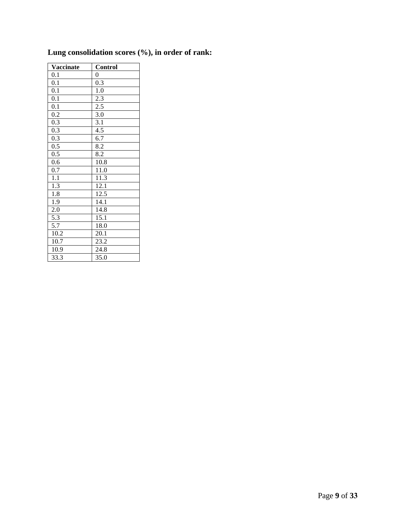| <b>Vaccinate</b> | Control           |
|------------------|-------------------|
| 0.1              | $\boldsymbol{0}$  |
| $\overline{0.1}$ | $\overline{0.3}$  |
| $\overline{0.1}$ | 1.0               |
| 0.1              | $2.\overline{3}$  |
| $\overline{0.1}$ | 2.5               |
| 0.2              | 3.0               |
| 0.3              | 3.1               |
| $0.\overline{3}$ | 4.5               |
| $\overline{0.3}$ | 6.7               |
| 0.5              | 8.2               |
| 0.5              | $\overline{8.2}$  |
| 0.6              | 10.8              |
| 0.7              | 11.0              |
| $\overline{1.1}$ | $11.\overline{3}$ |
| 1.3              | 12.1              |
| $\overline{1.8}$ | $12.\overline{5}$ |
| 1.9              | 14.1              |
| 2.0              | 14.8              |
| 5.3              | $15.\overline{1}$ |
| 5.7              | 18.0              |
| 10.2             | 20.1              |
| 10.7             | 23.2              |
| 10.9             | 24.8              |
| 33.3             | 35.0              |

# **Lung consolidation scores (%), in order of rank:**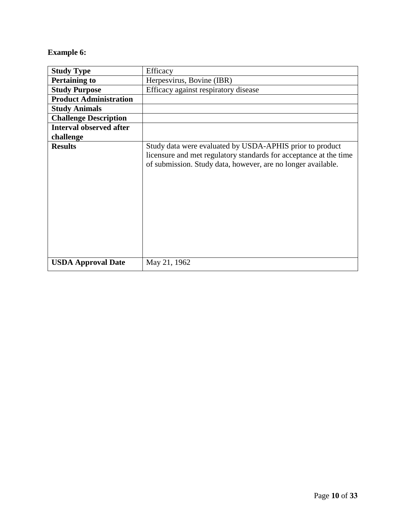## <span id="page-9-0"></span>**Example 6:**

| <b>Study Type</b>              | Efficacy                                                                                                                                                                                      |
|--------------------------------|-----------------------------------------------------------------------------------------------------------------------------------------------------------------------------------------------|
| <b>Pertaining to</b>           | Herpesvirus, Bovine (IBR)                                                                                                                                                                     |
| <b>Study Purpose</b>           | Efficacy against respiratory disease                                                                                                                                                          |
| <b>Product Administration</b>  |                                                                                                                                                                                               |
| <b>Study Animals</b>           |                                                                                                                                                                                               |
| <b>Challenge Description</b>   |                                                                                                                                                                                               |
| <b>Interval observed after</b> |                                                                                                                                                                                               |
| challenge                      |                                                                                                                                                                                               |
| <b>Results</b>                 | Study data were evaluated by USDA-APHIS prior to product<br>licensure and met regulatory standards for acceptance at the time<br>of submission. Study data, however, are no longer available. |
| <b>USDA Approval Date</b>      | May 21, 1962                                                                                                                                                                                  |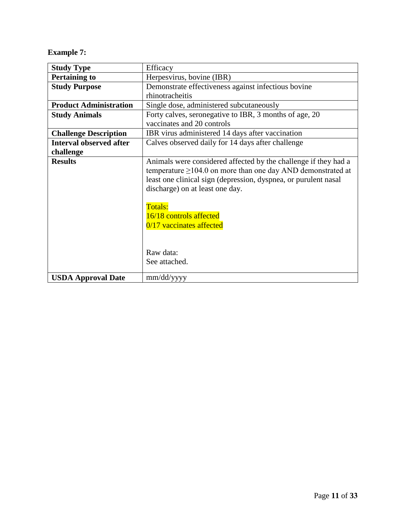## <span id="page-10-0"></span>**Example 7:**

| <b>Study Type</b>              | Efficacy                                                                                                                                                                                                                                                                                                                                   |  |  |  |  |  |  |  |
|--------------------------------|--------------------------------------------------------------------------------------------------------------------------------------------------------------------------------------------------------------------------------------------------------------------------------------------------------------------------------------------|--|--|--|--|--|--|--|
| <b>Pertaining to</b>           | Herpesvirus, bovine (IBR)                                                                                                                                                                                                                                                                                                                  |  |  |  |  |  |  |  |
| <b>Study Purpose</b>           | Demonstrate effectiveness against infectious bovine                                                                                                                                                                                                                                                                                        |  |  |  |  |  |  |  |
|                                | rhinotracheitis                                                                                                                                                                                                                                                                                                                            |  |  |  |  |  |  |  |
| <b>Product Administration</b>  | Single dose, administered subcutaneously                                                                                                                                                                                                                                                                                                   |  |  |  |  |  |  |  |
| <b>Study Animals</b>           | Forty calves, seronegative to IBR, 3 months of age, 20                                                                                                                                                                                                                                                                                     |  |  |  |  |  |  |  |
|                                | vaccinates and 20 controls                                                                                                                                                                                                                                                                                                                 |  |  |  |  |  |  |  |
| <b>Challenge Description</b>   | IBR virus administered 14 days after vaccination                                                                                                                                                                                                                                                                                           |  |  |  |  |  |  |  |
| <b>Interval observed after</b> | Calves observed daily for 14 days after challenge                                                                                                                                                                                                                                                                                          |  |  |  |  |  |  |  |
| challenge                      |                                                                                                                                                                                                                                                                                                                                            |  |  |  |  |  |  |  |
| <b>Results</b>                 | Animals were considered affected by the challenge if they had a<br>temperature $\geq$ 104.0 on more than one day AND demonstrated at<br>least one clinical sign (depression, dyspnea, or purulent nasal<br>discharge) on at least one day.<br>Totals:<br>16/18 controls affected<br>0/17 vaccinates affected<br>Raw data:<br>See attached. |  |  |  |  |  |  |  |
| <b>USDA Approval Date</b>      | mm/dd/yyyy                                                                                                                                                                                                                                                                                                                                 |  |  |  |  |  |  |  |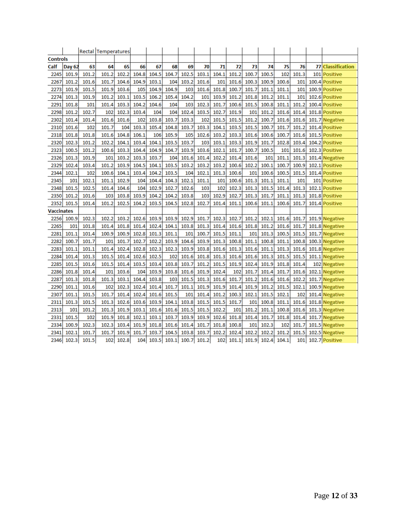|                   |               |       | <b>Rectal Temperatures</b> |       |       |       |       |       |       |       |       |       |       |       |       |       |                       |
|-------------------|---------------|-------|----------------------------|-------|-------|-------|-------|-------|-------|-------|-------|-------|-------|-------|-------|-------|-----------------------|
| <b>Controls</b>   |               |       |                            |       |       |       |       |       |       |       |       |       |       |       |       |       |                       |
| Calf              | <b>Day 62</b> | 63    | 64                         | 65    | 66    | 67    | 68    | 69    | 70    | 71    | 72    | 73    | 74    | 75    | 76    | 77    | <b>Classification</b> |
| 2245              | 101.9         | 101.2 | 101.2                      | 102.2 | 104.8 | 104.5 | 104.7 | 102.5 | 103.1 | 104.1 | 101.2 | 100.7 | 100.5 | 102   | 101.3 | 101   | <b>Positive</b>       |
| 2267              | 101.2         | 101.6 | 101.7                      | 104.6 | 104.9 | 103.1 | 104   | 103.2 | 101.6 | 101   | 101.6 | 100.3 | 100.9 | 100.6 | 101   |       | 100.4 Positive        |
| 2273              | 101.9         | 101.5 | 101.9                      | 103.6 | 105   | 104.9 | 104.9 | 103   | 101.6 | 101.8 | 100.7 | 101.7 | 101.1 | 101.1 | 101   |       | 100.9 Positive        |
| 2274              | 101.3         | 101.9 | 101.2                      | 103.1 | 103.5 | 106.2 | 105.4 | 104.2 | 101   | 103.9 | 101.2 | 101.8 | 101.2 | 101.1 | 101   |       | 102.6 Positive        |
| 2291              | 101.8         | 101   | 101.4                      | 103.3 | 104.2 | 104.6 | 104   | 103   | 102.3 | 101.7 | 100.6 | 101.5 | 100.8 | 101.1 | 101.2 |       | 100.4 Positive        |
| 2298              | 101.2         | 102.7 | 102                        | 102.3 | 103.4 | 104   | 104   | 102.4 | 103.5 | 102.7 | 101.9 | 101   | 101.2 | 101.6 | 101.4 |       | 101.8 Positive        |
| 2302              | 101.4         | 101.4 | 101.6                      | 101.6 | 102   | 103.8 | 103.7 | 103.3 | 102   | 101.5 | 101.5 | 101.2 | 100.7 | 101.6 | 101.6 |       | 101.7 Negative        |
| 2310              | 101.6         | 102   | 101.7                      | 104   | 103.3 | 105.4 | 104.8 | 103.7 | 103.3 | 104.1 | 103.5 | 101.5 | 100.7 | 101.7 | 101.2 |       | 101.4 Positive        |
| 2318              | 101.8         | 101.8 | 101.6                      | 104.8 | 106.1 | 106   | 105.9 | 105   | 102.6 | 103.2 | 103.3 | 101.6 | 100.6 | 100.7 | 101.6 | 101.5 | <b>Positive</b>       |
| 2320              | 102.3         | 101.2 | 102.2                      | 104.1 | 103.4 | 104.1 | 103.5 | 103.7 | 103   | 103.1 | 103.3 | 101.9 | 101.7 | 102.8 | 103.4 |       | 104.2 Positive        |
| 2323              | 100.5         | 101.2 | 100.6                      | 103.3 | 104.4 | 104.9 | 104.7 | 103.9 | 103.6 | 102.1 | 101.7 | 100.7 | 100.5 | 101   | 101.6 |       | 102.3 Positive        |
| 2326              | 101.3         | 101.9 | 101                        | 103.2 | 103.3 | 103.7 | 104   | 101.6 | 101.4 | 102.2 | 101.4 | 101.6 | 101   | 101.1 | 101.3 |       | 101.4 Negative        |
| 2329              | 102.4         | 103.4 | 101.2                      | 103.9 | 104.5 | 104.1 | 103.5 | 103.2 | 103.2 | 103.2 | 100.6 | 102.2 | 100.1 | 100.7 | 100.9 |       | 102.1 Positive        |
| 2344              | 102.1         | 102   | 100.6                      | 104.1 | 103.4 | 104.2 | 103.5 | 104   | 102.1 | 101.3 | 100.6 | 101   | 100.6 | 100.5 | 101.5 | 101.4 | <b>Positive</b>       |
| 2345              | 101           | 102.1 | 101.1                      | 102.9 | 104   | 104.4 | 104.3 | 102.1 | 101.1 | 101   | 100.6 | 101.3 | 101.1 | 101.1 | 101   |       | 101 Positive          |
| 2348              | 101.5         | 102.5 | 101.4                      | 104.6 | 104   | 102.9 | 102.7 | 102.6 | 103   | 102   | 102.3 | 101.3 | 101.5 | 101.4 | 101.3 |       | 102.1 Positive        |
| 2350              | 101.2         | 101.6 | 103                        | 103.8 | 103.9 | 104.2 | 104.2 | 103.8 | 103   | 102.9 | 102.7 | 101.3 | 101.7 | 101.1 | 101.3 |       | 101.8 Positive        |
| 2352              | 101.5         | 101.4 | 101.2                      | 102.5 | 104.2 | 103.5 | 104.5 | 102.8 | 102.7 | 101.4 | 101.1 | 100.6 | 101.1 | 100.6 | 101.7 |       | 101.4 Positive        |
| <b>Vaccinates</b> |               |       |                            |       |       |       |       |       |       |       |       |       |       |       |       |       |                       |
| 2256              | 100.9         | 102.3 | 102.2                      | 103.2 | 102.6 | 103.9 | 103.9 | 102.9 | 101.7 | 102.3 | 102.7 | 101.2 | 102.1 | 101.6 | 101.7 |       | 101.9 Negative        |
| 2265              | 101           | 101.8 | 101.4                      | 101.8 | 101.4 | 102.4 | 104.1 | 103.8 | 101.3 | 101.4 | 101.6 | 101.8 | 101.2 | 101.6 | 101.7 |       | 101.8 Negative        |
| 2281              | 101.1         | 101.4 | 100.9                      | 100.9 | 102.8 | 101.3 | 101.1 | 101   | 100.7 | 101.5 | 101.1 | 101   | 101.3 | 100.5 | 101.5 |       | 101.7 Negative        |
| 2282              | 100.7         | 101.7 | 101                        | 101.7 | 102.7 | 102.2 | 103.9 | 104.6 | 103.9 | 101.3 | 100.8 | 101.1 | 100.8 | 101.1 | 100.8 |       | 100.3 Negative        |
| 2283              | 101.1         | 101.1 | 101.4                      | 102.4 | 102.8 | 102.3 | 102.3 | 103.9 | 103.8 | 101.6 | 101.3 | 101.6 | 101.1 | 101.3 | 101.6 |       | 101.8 Negative        |
| 2284              | 101.4         | 101.3 | 101.5                      | 101.4 | 102.6 | 102.5 | 102   | 101.6 | 101.8 | 101.3 | 101.6 | 101.6 | 101.3 | 101.5 | 101.5 |       | 101.1 Negative        |
| 2285              | 101.5         | 101.6 | 101.5                      | 101.4 | 103.5 | 103.4 | 103.8 | 103.7 | 101.2 | 101.5 | 101.9 | 102.4 | 101.9 | 101.8 | 101.4 |       | 102 Negative          |
| 2286              | 101.8         | 101.4 | 101                        | 103.6 | 104   | 103.9 | 103.8 | 101.6 | 101.9 | 102.4 | 102   | 101.7 | 101.4 | 101.7 | 101.6 |       | 102.1 Negative        |
| 2287              | 101.3         | 101.8 | 101.3                      | 103.1 | 104.4 | 103.8 | 103   | 101.5 | 101.3 | 101.6 | 101.7 | 101.2 | 101.6 | 101.6 | 102.2 |       | 101.7 Negative        |
| 2290              | 101.1         | 101.6 | 102                        | 102.3 | 102.4 | 101.4 | 101.7 | 101.1 | 101.9 | 101.9 | 101.4 | 101.9 | 101.2 | 101.5 | 102.1 |       | 100.9 Negative        |
| 2307              | 101.1         | 101.5 | 101.7                      | 101.4 | 102.4 | 101.6 | 101.5 | 101   | 101.4 | 101.2 | 100.3 | 102.1 | 101.5 | 102.1 | 102   |       | 101.4 Negative        |
| 2311              | 101.3         | 101.5 | 101.3                      | 102.6 | 103.6 | 103.9 | 104.1 | 103.8 | 101.5 | 101.5 | 101.7 | 101   | 100.8 | 101.1 | 101.6 |       | 101.8 Negative        |
| 2313              | 101           | 101.2 | 101.3                      | 101.9 | 103.1 | 101.6 | 101.6 | 101.5 | 101.5 | 102.2 | 101   | 101.2 | 101.1 | 100.8 | 101.6 |       | 101.3 Negative        |
| 2331              | 101.5         | 102   | 101.9                      | 101.8 | 102.1 | 103.1 | 103.7 | 103.9 | 103.9 | 102.6 | 101.8 | 101.4 | 101.7 | 101.8 | 101.4 |       | 101.7 Negative        |
| 2334              | 100.9         | 102.3 | 102.3                      | 103.4 | 101.9 | 101.8 | 101.6 | 101.4 | 101.7 | 101.8 | 100.8 | 101   | 102.3 | 102   | 101.7 |       | 101.5 Negative        |
| 2341              | 102.1         | 101.7 | 101.7                      | 101.9 | 101.7 | 103.7 | 104.5 | 103.8 | 103.7 | 102.2 | 102.4 | 102.2 | 102.2 | 101.2 | 101.5 |       | 102.5 Negative        |
| 2346              | 102.3         | 101.5 | 102                        | 102.8 | 104   | 103.5 | 103.1 | 100.7 | 101.2 | 102   | 101.1 | 101.9 | 102.4 | 104.1 | 101   |       | 102.7 Positive        |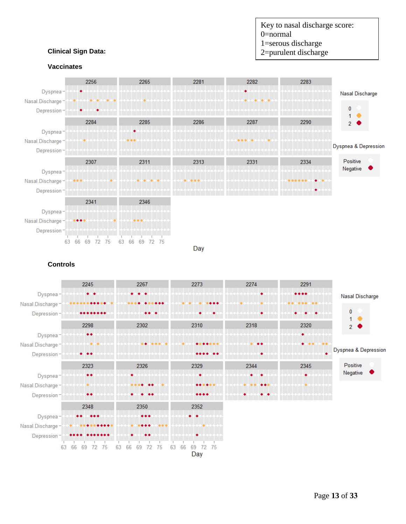

#### **Clinical Sign Data:**

#### **Vaccinates**



**Controls**

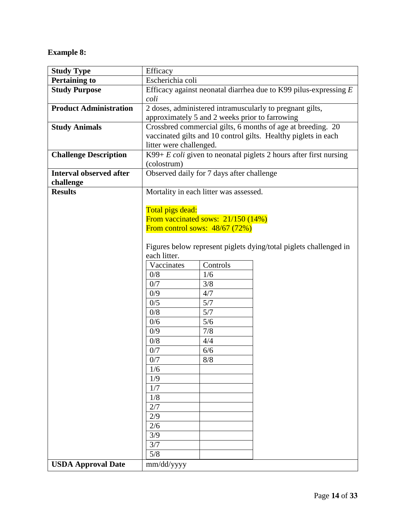## <span id="page-13-0"></span>**Example 8:**

| <b>Study Type</b>              | Efficacy                                                           |                                           |                                                                     |  |  |  |  |  |  |
|--------------------------------|--------------------------------------------------------------------|-------------------------------------------|---------------------------------------------------------------------|--|--|--|--|--|--|
| <b>Pertaining to</b>           | Escherichia coli                                                   |                                           |                                                                     |  |  |  |  |  |  |
| <b>Study Purpose</b>           | Efficacy against neonatal diarrhea due to K99 pilus-expressing $E$ |                                           |                                                                     |  |  |  |  |  |  |
|                                | coli                                                               |                                           |                                                                     |  |  |  |  |  |  |
| <b>Product Administration</b>  | 2 doses, administered intramuscularly to pregnant gilts,           |                                           |                                                                     |  |  |  |  |  |  |
|                                | approximately 5 and 2 weeks prior to farrowing                     |                                           |                                                                     |  |  |  |  |  |  |
| <b>Study Animals</b>           |                                                                    |                                           | Crossbred commercial gilts, 6 months of age at breeding. 20         |  |  |  |  |  |  |
|                                |                                                                    |                                           | vaccinated gilts and 10 control gilts. Healthy piglets in each      |  |  |  |  |  |  |
|                                | litter were challenged.                                            |                                           |                                                                     |  |  |  |  |  |  |
| <b>Challenge Description</b>   |                                                                    |                                           | K99+ $E$ coli given to neonatal piglets 2 hours after first nursing |  |  |  |  |  |  |
|                                | (colostrum)                                                        |                                           |                                                                     |  |  |  |  |  |  |
| <b>Interval observed after</b> |                                                                    | Observed daily for 7 days after challenge |                                                                     |  |  |  |  |  |  |
| challenge                      |                                                                    |                                           |                                                                     |  |  |  |  |  |  |
| <b>Results</b>                 |                                                                    | Mortality in each litter was assessed.    |                                                                     |  |  |  |  |  |  |
|                                |                                                                    |                                           |                                                                     |  |  |  |  |  |  |
|                                | Total pigs dead:                                                   |                                           |                                                                     |  |  |  |  |  |  |
|                                |                                                                    | From vaccinated sows: 21/150 (14%)        |                                                                     |  |  |  |  |  |  |
|                                |                                                                    | From control sows: $48/67$ (72%)          |                                                                     |  |  |  |  |  |  |
|                                |                                                                    |                                           |                                                                     |  |  |  |  |  |  |
|                                |                                                                    |                                           | Figures below represent piglets dying/total piglets challenged in   |  |  |  |  |  |  |
|                                | each litter.                                                       |                                           |                                                                     |  |  |  |  |  |  |
|                                | Vaccinates                                                         | Controls                                  |                                                                     |  |  |  |  |  |  |
|                                | 0/8                                                                | 1/6                                       |                                                                     |  |  |  |  |  |  |
|                                | 0/7                                                                | 3/8                                       |                                                                     |  |  |  |  |  |  |
|                                | 0/9                                                                | 4/7                                       |                                                                     |  |  |  |  |  |  |
|                                | 0/5                                                                | 5/7                                       |                                                                     |  |  |  |  |  |  |
|                                | 0/8                                                                | 5/7                                       |                                                                     |  |  |  |  |  |  |
|                                | 0/6                                                                | 5/6                                       |                                                                     |  |  |  |  |  |  |
|                                | 0/9                                                                | 7/8                                       |                                                                     |  |  |  |  |  |  |
|                                | 0/8                                                                | 4/4                                       |                                                                     |  |  |  |  |  |  |
|                                | 0/7                                                                | 6/6                                       |                                                                     |  |  |  |  |  |  |
|                                | 0/7                                                                | $8/8$                                     |                                                                     |  |  |  |  |  |  |
|                                | 1/6                                                                |                                           |                                                                     |  |  |  |  |  |  |
|                                | 1/9                                                                |                                           |                                                                     |  |  |  |  |  |  |
|                                | 1/7                                                                |                                           |                                                                     |  |  |  |  |  |  |
|                                | 1/8                                                                |                                           |                                                                     |  |  |  |  |  |  |
|                                | 2/7                                                                |                                           |                                                                     |  |  |  |  |  |  |
|                                | 2/9                                                                |                                           |                                                                     |  |  |  |  |  |  |
|                                | 2/6                                                                |                                           |                                                                     |  |  |  |  |  |  |
|                                | 3/9                                                                |                                           |                                                                     |  |  |  |  |  |  |
|                                | 3/7                                                                |                                           |                                                                     |  |  |  |  |  |  |
|                                | 5/8                                                                |                                           |                                                                     |  |  |  |  |  |  |
| <b>USDA Approval Date</b>      | mm/dd/yyyy                                                         |                                           |                                                                     |  |  |  |  |  |  |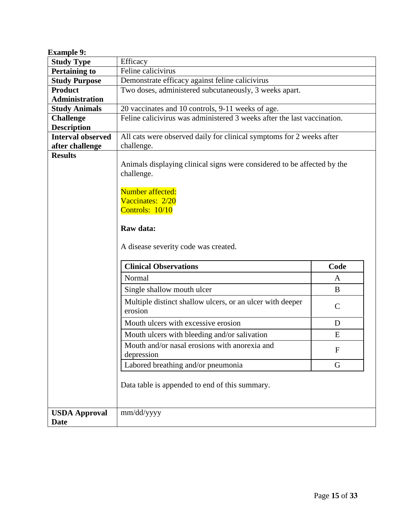<span id="page-14-0"></span>

| <b>Example 9:</b>                   |                                                                                    |                                                                         |  |  |  |  |  |  |  |  |
|-------------------------------------|------------------------------------------------------------------------------------|-------------------------------------------------------------------------|--|--|--|--|--|--|--|--|
| <b>Study Type</b>                   | Efficacy                                                                           |                                                                         |  |  |  |  |  |  |  |  |
| <b>Pertaining to</b>                | Feline calicivirus                                                                 |                                                                         |  |  |  |  |  |  |  |  |
| <b>Study Purpose</b>                | Demonstrate efficacy against feline calicivirus                                    |                                                                         |  |  |  |  |  |  |  |  |
| <b>Product</b>                      | Two doses, administered subcutaneously, 3 weeks apart.                             |                                                                         |  |  |  |  |  |  |  |  |
| <b>Administration</b>               |                                                                                    |                                                                         |  |  |  |  |  |  |  |  |
| <b>Study Animals</b>                | 20 vaccinates and 10 controls, 9-11 weeks of age.                                  |                                                                         |  |  |  |  |  |  |  |  |
| <b>Challenge</b>                    | Feline calicivirus was administered 3 weeks after the last vaccination.            |                                                                         |  |  |  |  |  |  |  |  |
| <b>Description</b>                  |                                                                                    |                                                                         |  |  |  |  |  |  |  |  |
| <b>Interval observed</b>            | All cats were observed daily for clinical symptoms for 2 weeks after               |                                                                         |  |  |  |  |  |  |  |  |
| after challenge<br><b>Results</b>   | challenge.                                                                         |                                                                         |  |  |  |  |  |  |  |  |
|                                     | challenge.<br>Number affected:<br>Vaccinates: 2/20<br>Controls: 10/10<br>Raw data: | Animals displaying clinical signs were considered to be affected by the |  |  |  |  |  |  |  |  |
|                                     | A disease severity code was created.<br><b>Clinical Observations</b>               | Code                                                                    |  |  |  |  |  |  |  |  |
|                                     |                                                                                    |                                                                         |  |  |  |  |  |  |  |  |
|                                     | Normal                                                                             | A                                                                       |  |  |  |  |  |  |  |  |
|                                     | Single shallow mouth ulcer                                                         | B                                                                       |  |  |  |  |  |  |  |  |
|                                     | Multiple distinct shallow ulcers, or an ulcer with deeper<br>erosion               | $\mathcal{C}$                                                           |  |  |  |  |  |  |  |  |
|                                     | Mouth ulcers with excessive erosion                                                | D                                                                       |  |  |  |  |  |  |  |  |
|                                     | Mouth ulcers with bleeding and/or salivation                                       | E                                                                       |  |  |  |  |  |  |  |  |
|                                     | Mouth and/or nasal erosions with anorexia and<br>depression                        | $\mathbf F$                                                             |  |  |  |  |  |  |  |  |
|                                     | Labored breathing and/or pneumonia<br>G                                            |                                                                         |  |  |  |  |  |  |  |  |
|                                     | Data table is appended to end of this summary.                                     |                                                                         |  |  |  |  |  |  |  |  |
| <b>USDA Approval</b><br><b>Date</b> | mm/dd/yyyy                                                                         |                                                                         |  |  |  |  |  |  |  |  |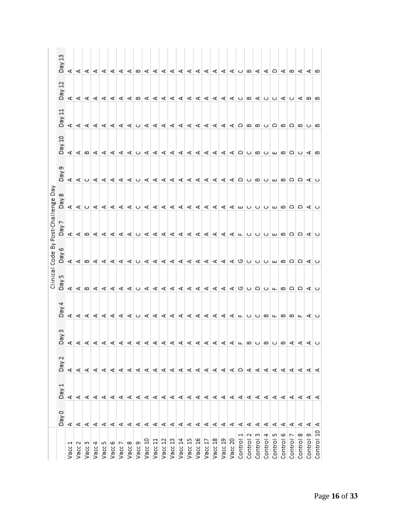<span id="page-15-0"></span>

| g<br>Day                      |           |                               |           |           |           |           |           |           |                                 |         |                         |         |         |         |         |         |         |         |         |         |              |           |              |              |              |              |              |           |           |  |
|-------------------------------|-----------|-------------------------------|-----------|-----------|-----------|-----------|-----------|-----------|---------------------------------|---------|-------------------------|---------|---------|---------|---------|---------|---------|---------|---------|---------|--------------|-----------|--------------|--------------|--------------|--------------|--------------|-----------|-----------|--|
| Day                           |           | 144444444444444444094004049   |           |           |           |           |           |           |                                 |         |                         |         |         |         |         |         |         |         |         |         |              |           |              |              |              |              |              |           |           |  |
| 븝<br>Day                      | ď         |                               |           |           |           |           |           |           | 14444404444444444400000000000   |         |                         |         |         |         |         |         |         |         |         |         |              |           |              |              |              |              |              |           |           |  |
| 吕<br>Day                      |           |                               |           |           |           |           |           |           |                                 |         |                         |         |         |         |         |         |         |         |         |         |              |           |              |              |              |              |              |           |           |  |
| ō<br>VeQ                      |           |                               |           |           |           |           |           |           |                                 |         |                         |         |         |         |         |         |         |         |         |         |              |           |              |              |              |              |              |           |           |  |
| δ<br>œ<br>高                   | ď         |                               |           |           |           |           |           |           | duddddd dalaidd achuu bhabbba a |         |                         |         |         |         |         |         |         |         |         |         |              |           |              |              |              |              |              |           |           |  |
| By Post-Challenge<br>Day      | ⋖         |                               |           |           |           |           |           |           |                                 |         |                         |         |         |         |         |         |         |         |         |         |              |           |              |              |              |              |              |           |           |  |
| 6<br>Code<br>ā                |           |                               |           |           |           |           |           |           |                                 |         |                         |         |         |         |         |         |         |         |         |         |              |           |              |              |              |              |              |           |           |  |
| Clinical<br>Day <sub>5</sub>  | ⋖         |                               |           |           |           |           |           |           |                                 |         |                         |         |         |         |         |         |         |         |         |         |              |           |              |              |              |              |              |           |           |  |
| Day                           | ď         |                               |           |           |           |           |           |           | 444444044444444444440004040     |         |                         |         |         |         |         |         |         |         |         |         |              |           |              |              |              |              |              |           |           |  |
| Day                           |           |                               |           |           |           |           |           |           |                                 |         |                         |         |         |         |         |         |         |         |         |         |              |           |              |              |              |              |              |           |           |  |
| $\tilde{\phantom{0}}$<br>Day: | ď         | ⋖                             | ď         | ď         | ď         | ⋖         | ⋖         | ⋖         | ď                               | ď       |                         | ∢ ∢     |         | ∢ ∢     | ⋖       |         | ∢ ∢     |         | 44044   |         |              |           |              | ⋖            | ⋖            | ⋖            | <b>I</b>     | ⋖         | ď         |  |
| Day <sub>1</sub>              | ď         | ⋖                             | ⋖         | ¢         | ⋖         | ⋖         | ¢         | ⋖         | 4                               |         | $\leqslant$ $\leqslant$ |         |         | ∢ ∢     | ∢ ∢ ∢   |         |         |         | ∢∣∢ ∢   |         | ¢            |           | ∢ ∢          | ⋖            | ⋖            | ⋖            | ⋖            | ⋖         | ⋖         |  |
| Day <sub>0</sub>              | ⋖         | ⋖                             |           |           |           |           |           |           | dddddddddddddddddddd            |         |                         |         |         |         |         |         |         |         |         |         |              |           |              | ď            | ⋖            | ⋖            | ď            | ⋖         | ⋖         |  |
|                               | ÷<br>Vacc | $\tilde{\phantom{0}}$<br>Vacc | m<br>Vacc | 4<br>Vacc | m<br>Vacc | ه<br>Vacc | ∼<br>Vacc | œ<br>Vacc | Vacc 9                          | Vacc 10 | Vacc 11                 | Vacc 12 | Vacc 13 | Vacc 14 | Vacc 15 | Vacc 16 | Vacc 17 | Vacc 18 | Vacc 19 | Vacc 20 | ÷<br>Control | Control 2 | ო<br>Control | 4<br>Control | m<br>Control | ه<br>Control | Ē<br>Control | Control 8 | Control 9 |  |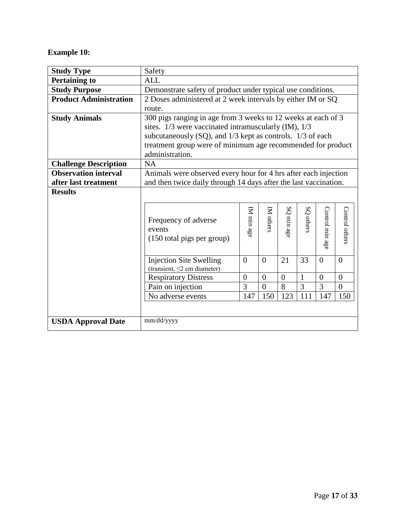## **Example 10:**

| <b>Study Type</b>             | Safety                                                              |                                                               |                  |                          |                |                 |                |  |  |  |  |  |
|-------------------------------|---------------------------------------------------------------------|---------------------------------------------------------------|------------------|--------------------------|----------------|-----------------|----------------|--|--|--|--|--|
| <b>Pertaining to</b>          | <b>ALL</b>                                                          |                                                               |                  |                          |                |                 |                |  |  |  |  |  |
| <b>Study Purpose</b>          | Demonstrate safety of product under typical use conditions.         |                                                               |                  |                          |                |                 |                |  |  |  |  |  |
| <b>Product Administration</b> | 2 Doses administered at 2 week intervals by either IM or SQ         |                                                               |                  |                          |                |                 |                |  |  |  |  |  |
|                               | route.                                                              |                                                               |                  |                          |                |                 |                |  |  |  |  |  |
| <b>Study Animals</b>          |                                                                     | 300 pigs ranging in age from 3 weeks to 12 weeks at each of 3 |                  |                          |                |                 |                |  |  |  |  |  |
|                               | sites. 1/3 were vaccinated intramuscularly (IM), 1/3                |                                                               |                  |                          |                |                 |                |  |  |  |  |  |
|                               | subcutaneously (SQ), and 1/3 kept as controls. 1/3 of each          |                                                               |                  |                          |                |                 |                |  |  |  |  |  |
|                               | treatment group were of minimum age recommended for product         |                                                               |                  |                          |                |                 |                |  |  |  |  |  |
|                               | administration.                                                     |                                                               |                  |                          |                |                 |                |  |  |  |  |  |
| <b>Challenge Description</b>  | <b>NA</b>                                                           |                                                               |                  |                          |                |                 |                |  |  |  |  |  |
| <b>Observation interval</b>   | Animals were observed every hour for 4 hrs after each injection     |                                                               |                  |                          |                |                 |                |  |  |  |  |  |
| after last treatment          | and then twice daily through 14 days after the last vaccination.    |                                                               |                  |                          |                |                 |                |  |  |  |  |  |
| <b>Results</b>                |                                                                     |                                                               |                  |                          |                |                 |                |  |  |  |  |  |
|                               | Frequency of adverse<br>events<br>(150 total pigs per group)        | IM min $\rm age$                                              | IM others        | $\rm{SO}$<br>$min\,a$ ge | SQ others      | Control min age | Control others |  |  |  |  |  |
|                               | <b>Injection Site Swelling</b><br>(transient, $\leq$ 2 cm diameter) | $\theta$                                                      | $\theta$         | 21                       | 33             | $\theta$        | $\theta$       |  |  |  |  |  |
|                               | <b>Respiratory Distress</b>                                         | $\overline{0}$                                                | $\boldsymbol{0}$ | $\overline{0}$           | $\mathbf{1}$   | $\overline{0}$  | $\overline{0}$ |  |  |  |  |  |
|                               | Pain on injection                                                   | 3                                                             | $\theta$         | 8                        | $\overline{3}$ | 3               | $\overline{0}$ |  |  |  |  |  |
|                               | No adverse events                                                   | 147                                                           | 150              | 123                      | 111            | 147             | 150            |  |  |  |  |  |
|                               |                                                                     |                                                               |                  |                          |                |                 |                |  |  |  |  |  |
| <b>USDA Approval Date</b>     | mm/dd/yyyy                                                          |                                                               |                  |                          |                |                 |                |  |  |  |  |  |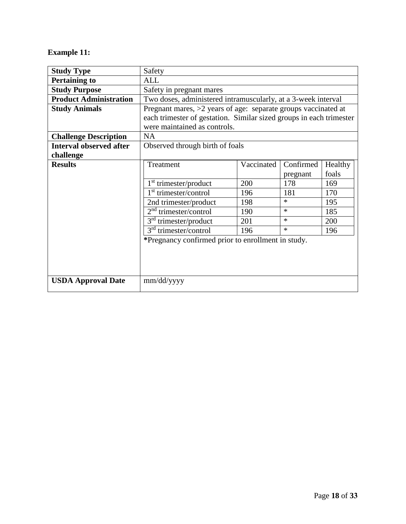## <span id="page-17-0"></span>**Example 11:**

| <b>Study Type</b>              | Safety                                                              |            |           |         |  |  |  |  |  |  |  |
|--------------------------------|---------------------------------------------------------------------|------------|-----------|---------|--|--|--|--|--|--|--|
| <b>Pertaining to</b>           | <b>ALL</b>                                                          |            |           |         |  |  |  |  |  |  |  |
| <b>Study Purpose</b>           | Safety in pregnant mares                                            |            |           |         |  |  |  |  |  |  |  |
| <b>Product Administration</b>  | Two doses, administered intramuscularly, at a 3-week interval       |            |           |         |  |  |  |  |  |  |  |
| <b>Study Animals</b>           | Pregnant mares, $>2$ years of age: separate groups vaccinated at    |            |           |         |  |  |  |  |  |  |  |
|                                | each trimester of gestation. Similar sized groups in each trimester |            |           |         |  |  |  |  |  |  |  |
|                                | were maintained as controls.                                        |            |           |         |  |  |  |  |  |  |  |
| <b>Challenge Description</b>   | <b>NA</b>                                                           |            |           |         |  |  |  |  |  |  |  |
| <b>Interval observed after</b> | Observed through birth of foals                                     |            |           |         |  |  |  |  |  |  |  |
| challenge                      |                                                                     |            |           |         |  |  |  |  |  |  |  |
| <b>Results</b>                 | Treatment                                                           | Vaccinated | Confirmed | Healthy |  |  |  |  |  |  |  |
|                                |                                                                     |            | pregnant  | foals   |  |  |  |  |  |  |  |
|                                | 1 <sup>st</sup> trimester/product                                   | 200        | 178       | 169     |  |  |  |  |  |  |  |
|                                | 1 <sup>st</sup> trimester/control                                   | 196        | 181       | 170     |  |  |  |  |  |  |  |
|                                | 2nd trimester/product                                               | 198        | $\ast$    | 195     |  |  |  |  |  |  |  |
|                                | $2nd$ trimester/control                                             | 190        | $\ast$    | 185     |  |  |  |  |  |  |  |
|                                | $3rd$ trimester/product                                             | 201        | $\ast$    | 200     |  |  |  |  |  |  |  |
|                                | $3rd$ trimester/control                                             | 196        | $\ast$    | 196     |  |  |  |  |  |  |  |
|                                | *Pregnancy confirmed prior to enrollment in study.                  |            |           |         |  |  |  |  |  |  |  |
|                                |                                                                     |            |           |         |  |  |  |  |  |  |  |
|                                |                                                                     |            |           |         |  |  |  |  |  |  |  |
|                                |                                                                     |            |           |         |  |  |  |  |  |  |  |
| <b>USDA Approval Date</b>      | mm/dd/yyyy                                                          |            |           |         |  |  |  |  |  |  |  |
|                                |                                                                     |            |           |         |  |  |  |  |  |  |  |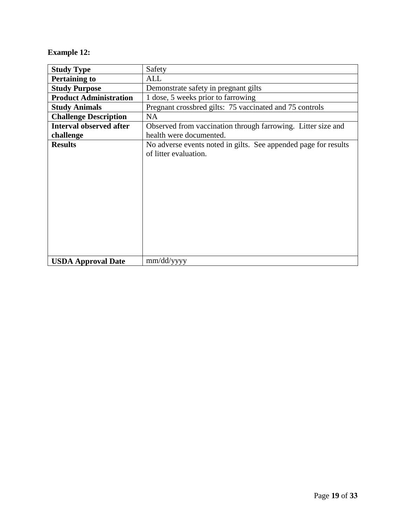## <span id="page-18-0"></span>**Example 12:**

| <b>Study Type</b>              | Safety                                                          |
|--------------------------------|-----------------------------------------------------------------|
| <b>Pertaining to</b>           | <b>ALL</b>                                                      |
| <b>Study Purpose</b>           | Demonstrate safety in pregnant gilts                            |
| <b>Product Administration</b>  | 1 dose, 5 weeks prior to farrowing                              |
| <b>Study Animals</b>           | Pregnant crossbred gilts: 75 vaccinated and 75 controls         |
| <b>Challenge Description</b>   | <b>NA</b>                                                       |
| <b>Interval observed after</b> | Observed from vaccination through farrowing. Litter size and    |
| challenge                      | health were documented.                                         |
| <b>Results</b>                 | No adverse events noted in gilts. See appended page for results |
|                                | of litter evaluation.                                           |
|                                |                                                                 |
|                                |                                                                 |
|                                |                                                                 |
|                                |                                                                 |
|                                |                                                                 |
|                                |                                                                 |
|                                |                                                                 |
|                                |                                                                 |
|                                |                                                                 |
|                                |                                                                 |
| <b>USDA Approval Date</b>      | mm/dd/yyyy                                                      |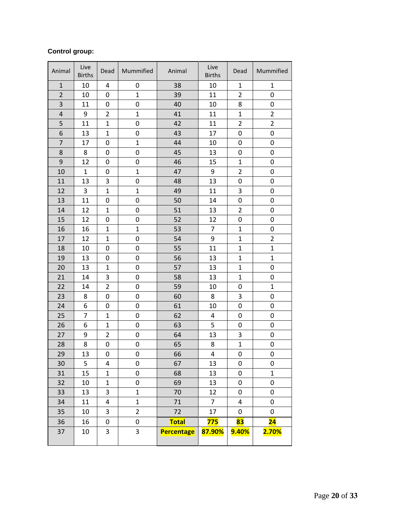#### **Control group:**

| Animal                  | Live<br><b>Births</b> | Dead           | Mummified      | Animal            | Live<br><b>Births</b>   | Dead           | Mummified       |
|-------------------------|-----------------------|----------------|----------------|-------------------|-------------------------|----------------|-----------------|
| $\mathbf{1}$            | 10                    | 4              | 0              | 38                | 10                      | $\mathbf{1}$   | $\mathbf{1}$    |
| $\overline{2}$          | 10                    | 0              | $\mathbf{1}$   | 39                | 11                      | $\overline{2}$ | 0               |
| 3                       | 11                    | 0              | 0              | 40                | 10                      | 8              | $\pmb{0}$       |
| $\overline{\mathbf{4}}$ | 9                     | $\overline{2}$ | $\mathbf{1}$   | 41                | 11                      | $\mathbf{1}$   | $\overline{2}$  |
| 5                       | 11                    | $\mathbf{1}$   | 0              | 42                | 11                      | $\overline{2}$ | $\overline{2}$  |
| 6                       | 13                    | $\mathbf{1}$   | 0              | 43                | 17                      | 0              | $\pmb{0}$       |
| $\overline{7}$          | 17                    | 0              | $\mathbf{1}$   | 44                | 10                      | 0              | $\mathbf 0$     |
| 8                       | 8                     | 0              | 0              | 45                | 13                      | 0              | 0               |
| $\mathsf 9$             | 12                    | 0              | 0              | 46                | 15                      | $\mathbf{1}$   | 0               |
| 10                      | $\mathbf{1}$          | 0              | $\mathbf 1$    | 47                | 9                       | $\overline{2}$ | 0               |
| 11                      | 13                    | 3              | 0              | 48                | 13                      | 0              | 0               |
| 12                      | 3                     | $\mathbf{1}$   | $\mathbf{1}$   | 49                | 11                      | 3              | $\mathbf 0$     |
| 13                      | 11                    | 0              | 0              | 50                | 14                      | 0              | 0               |
| 14                      | 12                    | $\mathbf{1}$   | 0              | 51                | 13                      | $\overline{2}$ | 0               |
| 15                      | 12                    | 0              | 0              | 52                | 12                      | 0              | $\pmb{0}$       |
| 16                      | 16                    | $\mathbf{1}$   | $\mathbf{1}$   | 53                | $\overline{7}$          | $\mathbf{1}$   | 0               |
| 17                      | 12                    | $\mathbf{1}$   | 0              | 54                | 9                       | $\mathbf{1}$   | $\overline{2}$  |
| 18                      | 10                    | 0              | 0              | 55                | 11                      | $\mathbf{1}$   | 1               |
| 19                      | 13                    | 0              | 0              | 56                | 13                      | $\mathbf{1}$   | $\mathbf{1}$    |
| 20                      | 13                    | $\mathbf{1}$   | 0              | 57                | 13                      | $\mathbf{1}$   | 0               |
| 21                      | 14                    | 3              | 0              | 58                | 13                      | $\mathbf{1}$   | 0               |
| 22                      | 14                    | $\overline{2}$ | 0              | 59                | 10                      | 0              | $\mathbf{1}$    |
| 23                      | 8                     | 0              | 0              | 60                | 8                       | 3              | 0               |
| 24                      | 6                     | 0              | 0              | 61                | 10                      | $\pmb{0}$      | 0               |
| 25                      | $\overline{7}$        | $\mathbf{1}$   | 0              | 62                | $\overline{a}$          | $\pmb{0}$      | 0               |
| 26                      | 6                     | $\mathbf{1}$   | 0              | 63                | 5                       | 0              | 0               |
| 27                      | 9                     | $\overline{2}$ | 0              | 64                | 13                      | 3              | $\pmb{0}$       |
| 28                      | 8                     | 0              | 0              | 65                | 8                       | $\mathbf{1}$   | 0               |
| 29                      | 13                    | 0              | 0              | 66                | $\overline{\mathbf{4}}$ | 0              | $\pmb{0}$       |
| 30                      | 5                     | 4              | 0              | 67                | 13                      | 0              | 0               |
| 31                      | 15                    | $\mathbf{1}$   | 0              | 68                | 13                      | 0              | $\mathbf{1}$    |
| 32                      | 10                    | $\mathbf{1}$   | 0              | 69                | 13                      | 0              | 0               |
| 33                      | 13                    | 3              | $\mathbf{1}$   | 70                | 12                      | $\pmb{0}$      | 0               |
| 34                      | 11                    | 4              | $\mathbf 1$    | 71                | 7                       | 4              | 0               |
| 35                      | 10                    | 3              | $\overline{2}$ | 72                | 17                      | 0              | 0               |
| 36                      | 16                    | 0              | 0              | <b>Total</b>      | 775                     | 83             | $\overline{24}$ |
| 37                      | 10                    | 3              | 3              | <b>Percentage</b> | 87.90%                  | 9.40%          | 2.70%           |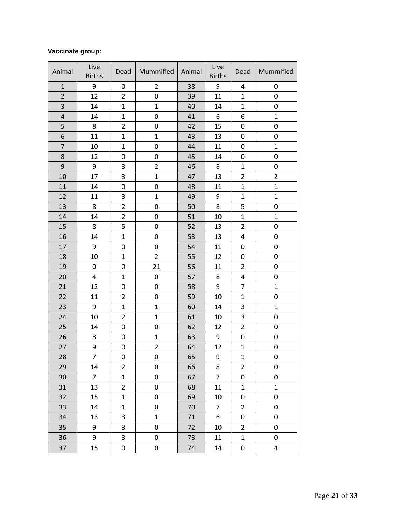#### **Vaccinate group:**

| Animal                  | Live<br><b>Births</b> | Dead           | Mummified      | Animal | Live<br><b>Births</b> | Dead           | Mummified           |
|-------------------------|-----------------------|----------------|----------------|--------|-----------------------|----------------|---------------------|
| $\mathbf{1}$            | 9                     | 0              | $\overline{2}$ | 38     | 9                     | 4              | 0                   |
| $\overline{2}$          | 12                    | $\overline{2}$ | 0              | 39     | 11                    | $\mathbf{1}$   | 0                   |
| 3                       | 14                    | $\mathbf{1}$   | $\mathbf{1}$   | 40     | 14                    | $\mathbf{1}$   | 0                   |
| $\overline{\mathbf{4}}$ | 14                    | $\mathbf 1$    | 0              | 41     | 6                     | 6              | $\mathbf{1}$        |
| 5                       | 8                     | $\overline{2}$ | $\pmb{0}$      | 42     | 15                    | $\pmb{0}$      | 0                   |
| 6                       | 11                    | $\mathbf{1}$   | $\mathbf 1$    | 43     | 13                    | 0              | 0                   |
| $\overline{7}$          | 10                    | $\mathbf{1}$   | $\pmb{0}$      | 44     | 11                    | 0              | $\mathbf{1}$        |
| 8                       | 12                    | 0              | 0              | 45     | 14                    | 0              | 0                   |
| $\boldsymbol{9}$        | 9                     | 3              | $\overline{2}$ | 46     | 8                     | $\mathbf{1}$   | 0                   |
| 10                      | 17                    | 3              | $\mathbf{1}$   | 47     | 13                    | $\overline{2}$ | $\overline{2}$      |
| 11                      | 14                    | 0              | 0              | 48     | 11                    | $\mathbf{1}$   | $\mathbf{1}$        |
| 12                      | 11                    | 3              | $\mathbf{1}$   | 49     | 9                     | $\mathbf{1}$   | $\mathbf{1}$        |
| 13                      | 8                     | $\overline{2}$ | $\pmb{0}$      | 50     | 8                     | 5              | 0                   |
| 14                      | 14                    | $\overline{2}$ | $\pmb{0}$      | 51     | 10                    | $\mathbf{1}$   | $\mathbf{1}$        |
| 15                      | 8                     | 5              | $\pmb{0}$      | 52     | 13                    | $\overline{2}$ | 0                   |
| 16                      | 14                    | $\mathbf{1}$   | $\pmb{0}$      | 53     | 13                    | 4              | 0                   |
| 17                      | 9                     | 0              | $\pmb{0}$      | 54     | 11                    | 0              | 0                   |
| 18                      | 10                    | $\mathbf{1}$   | $\overline{2}$ | 55     | 12                    | 0              | 0                   |
| 19                      | 0                     | 0              | 21             | 56     | 11                    | $\overline{2}$ | 0                   |
| 20                      | 4                     | $\mathbf{1}$   | $\pmb{0}$      | 57     | 8                     | 4              | 0                   |
| 21                      | 12                    | 0              | $\mathbf 0$    | 58     | 9                     | $\overline{7}$ | $\mathbf{1}$        |
| 22                      | 11                    | $\overline{2}$ | $\pmb{0}$      | 59     | 10                    | $\mathbf{1}$   | 0                   |
| 23                      | 9                     | $\mathbf{1}$   | $\mathbf 1$    | 60     | 14                    | 3              | $\mathbf{1}$        |
| 24                      | 10                    | $\overline{2}$ | $\mathbf{1}$   | 61     | 10                    | 3              | 0                   |
| 25                      | 14                    | 0              | $\mathsf 0$    | 62     | 12                    | $\overline{2}$ | 0                   |
| 26                      | 8                     | 0              | $\mathbf{1}$   | 63     | 9                     | 0              | 0                   |
| 27                      | 9                     | 0              | $\overline{2}$ | 64     | 12                    | $\mathbf{1}$   | $\mathsf{O}\xspace$ |
| 28                      | $\overline{7}$        | 0              | 0              | 65     | 9                     | $\mathbf{1}$   | 0                   |
| 29                      | 14                    | $\overline{2}$ | 0              | 66     | 8                     | 2              | 0                   |
| 30                      | $\overline{7}$        | $\mathbf{1}$   | 0              | 67     | $\overline{7}$        | 0              | 0                   |
| 31                      | 13                    | $\overline{2}$ | 0              | 68     | 11                    | $\mathbf 1$    | $\mathbf{1}$        |
| 32                      | 15                    | $\mathbf{1}$   | 0              | 69     | 10                    | 0              | 0                   |
| 33                      | 14                    | $\mathbf{1}$   | $\pmb{0}$      | 70     | $\overline{7}$        | $\overline{2}$ | 0                   |
| 34                      | 13                    | 3              | $\mathbf{1}$   | 71     | 6                     | 0              | $\mathbf 0$         |
| 35                      | 9                     | 3              | $\pmb{0}$      | 72     | 10                    | $\overline{2}$ | 0                   |
| 36                      | 9                     | 3              | 0              | 73     | 11                    | $\mathbf{1}$   | 0                   |
| 37                      | 15                    | 0              | 0              | 74     | 14                    | 0              | 4                   |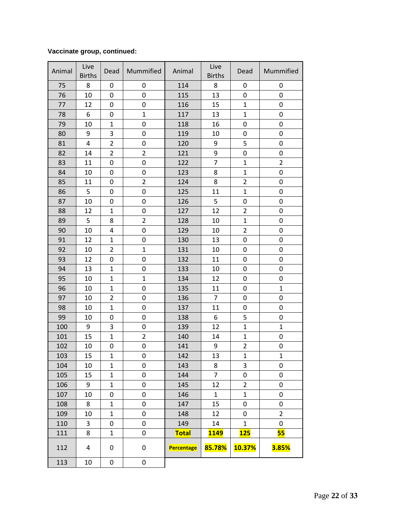#### **Vaccinate group, continued:**

| Animal | Live<br><b>Births</b>   | Dead           | Mummified        | Animal            | Live<br><b>Births</b> | Dead                    | Mummified      |
|--------|-------------------------|----------------|------------------|-------------------|-----------------------|-------------------------|----------------|
| 75     | 8                       | 0              | 0                | 114               | 8                     | 0                       | 0              |
| 76     | 10                      | 0              | 0                | 115               | 13                    | 0                       | 0              |
| 77     | 12                      | 0              | 0                | 116               | 15                    | $\mathbf 1$             | 0              |
| 78     | 6                       | 0              | $\mathbf 1$      | 117               | 13                    | $\mathbf 1$             | 0              |
| 79     | 10                      | $\mathbf{1}$   | 0                | 118               | 16                    | 0                       | 0              |
| 80     | 9                       | 3              | 0                | 119               | 10                    | 0                       | 0              |
| 81     | $\overline{\mathbf{4}}$ | $\overline{2}$ | 0                | 120               | 9                     | 5                       | 0              |
| 82     | 14                      | $\overline{2}$ | $\overline{2}$   | 121               | 9                     | 0                       | 0              |
| 83     | 11                      | 0              | 0                | 122               | $\overline{7}$        | $\mathbf{1}$            | $\overline{2}$ |
| 84     | 10                      | 0              | 0                | 123               | 8                     | $\mathbf 1$             | 0              |
| 85     | 11                      | 0              | $\overline{2}$   | 124               | 8                     | $\overline{2}$          | 0              |
| 86     | 5                       | 0              | $\boldsymbol{0}$ | 125               | 11                    | $\mathbf{1}$            | $\pmb{0}$      |
| 87     | 10                      | 0              | 0                | 126               | 5                     | 0                       | 0              |
| 88     | 12                      | $\mathbf{1}$   | 0                | 127               | 12                    | $\overline{2}$          | 0              |
| 89     | 5                       | 8              | $\overline{2}$   | 128               | 10                    | $\mathbf{1}$            | 0              |
| 90     | 10                      | 4              | $\boldsymbol{0}$ | 129               | 10                    | $\overline{2}$          | 0              |
| 91     | 12                      | $\mathbf{1}$   | 0                | 130               | 13                    | 0                       | 0              |
| 92     | 10                      | $\overline{2}$ | $\mathbf{1}$     | 131               | 10                    | 0                       | 0              |
| 93     | 12                      | 0              | $\mathbf 0$      | 132               | 11                    | 0                       | $\mathbf 0$    |
| 94     | 13                      | $\mathbf{1}$   | 0                | 133               | 10                    | 0                       | $\pmb{0}$      |
| 95     | 10                      | $\mathbf{1}$   | $\mathbf{1}$     | 134               | 12                    | 0                       | 0              |
| 96     | 10                      | $\mathbf{1}$   | 0                | 135               | 11                    | 0                       | $\mathbf{1}$   |
| 97     | 10                      | $\overline{2}$ | 0                | 136               | $\overline{7}$        | 0                       | 0              |
| 98     | 10                      | $\mathbf{1}$   | 0                | 137               | 11                    | 0                       | 0              |
| 99     | 10                      | 0              | 0                | 138               | 6                     | 5                       | 0              |
| 100    | 9                       | 3              | $\pmb{0}$        | 139               | 12                    | $\mathbf 1$             | $\mathbf 1$    |
| 101    | 15                      | $\mathbf{1}$   | $\overline{2}$   | 140               | 14                    | $\mathbf{1}$            | 0              |
| 102    | 10                      | 0              | 0                | 141               | 9                     | $\overline{\mathbf{c}}$ | 0              |
| 103    | 15                      | $\mathbf{1}$   | 0                | 142               | 13                    | $\mathbf{1}$            | $\mathbf{1}$   |
| 104    | 10                      | $\mathbf{1}$   | 0                | 143               | 8                     | 3                       | 0              |
| 105    | 15                      | $\mathbf 1$    | 0                | 144               | $\overline{7}$        | 0                       | 0              |
| 106    | 9                       | $\mathbf{1}$   | 0                | 145               | 12                    | $\overline{2}$          | 0              |
| 107    | 10                      | 0              | 0                | 146               | $\mathbf{1}$          | $\mathbf{1}$            | 0              |
| 108    | 8                       | $\mathbf 1$    | 0                | 147               | 15                    | 0                       | 0              |
| 109    | 10                      | $\mathbf 1$    | 0                | 148               | 12                    | 0                       | $\overline{2}$ |
| 110    | 3                       | 0              | 0                | 149               | 14                    | $\mathbf{1}$            | 0              |
| 111    | 8                       | $\mathbf{1}$   | 0                | <b>Total</b>      | <b>1149</b>           | <b>125</b>              | 55             |
| 112    | 4                       | 0              | 0                | <b>Percentage</b> | 85.78%                | 10.37%                  | <b>3.85%</b>   |
| 113    | 10                      | 0              | 0                |                   |                       |                         |                |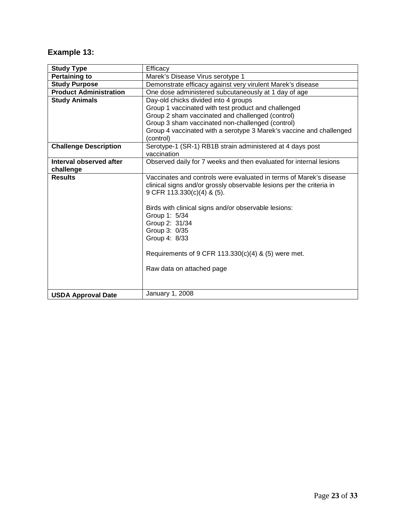# <span id="page-22-0"></span>**Example 13:**

| <b>Study Type</b>             | Efficacy                                                             |
|-------------------------------|----------------------------------------------------------------------|
| <b>Pertaining to</b>          | Marek's Disease Virus serotype 1                                     |
| <b>Study Purpose</b>          | Demonstrate efficacy against very virulent Marek's disease           |
| <b>Product Administration</b> | One dose administered subcutaneously at 1 day of age                 |
| <b>Study Animals</b>          | Day-old chicks divided into 4 groups                                 |
|                               | Group 1 vaccinated with test product and challenged                  |
|                               | Group 2 sham vaccinated and challenged (control)                     |
|                               | Group 3 sham vaccinated non-challenged (control)                     |
|                               | Group 4 vaccinated with a serotype 3 Marek's vaccine and challenged  |
|                               | (control)                                                            |
| <b>Challenge Description</b>  | Serotype-1 (SR-1) RB1B strain administered at 4 days post            |
|                               | vaccination                                                          |
| Interval observed after       | Observed daily for 7 weeks and then evaluated for internal lesions   |
| challenge                     |                                                                      |
| <b>Results</b>                | Vaccinates and controls were evaluated in terms of Marek's disease   |
|                               | clinical signs and/or grossly observable lesions per the criteria in |
|                               | 9 CFR 113.330(c)(4) & (5).                                           |
|                               |                                                                      |
|                               | Birds with clinical signs and/or observable lesions:                 |
|                               | Group 1: 5/34                                                        |
|                               | Group 2: 31/34                                                       |
|                               | Group 3: 0/35                                                        |
|                               | Group 4: 8/33                                                        |
|                               |                                                                      |
|                               | Requirements of 9 CFR 113.330(c)(4) & (5) were met.                  |
|                               |                                                                      |
|                               | Raw data on attached page                                            |
|                               |                                                                      |
|                               |                                                                      |
| <b>USDA Approval Date</b>     | January 1, 2008                                                      |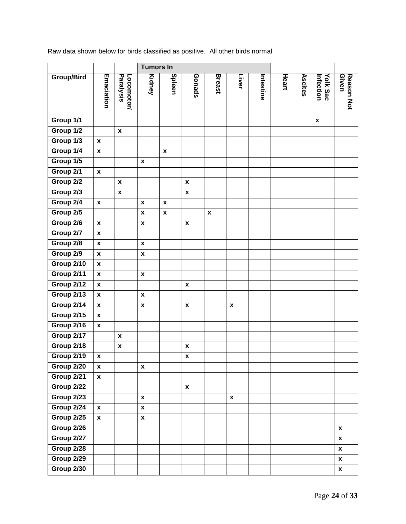Raw data shown below for birds classified as positive. All other birds normal.

|                   |                           |                         | <b>Tumors In</b>   |                    |                    |                    |                    |           |       |         |                              |                     |
|-------------------|---------------------------|-------------------------|--------------------|--------------------|--------------------|--------------------|--------------------|-----------|-------|---------|------------------------------|---------------------|
| <b>Group/Bird</b> | Emaciation                | Paralysis<br>Locomotor/ | <b>Kidney</b>      | Spleen             | Gonads             | <b>Breast</b>      | Liver              | Intestine | Heart | Ascites | <b>Yolk Sac</b><br>Infection | Reason Not<br>Given |
| Group 1/1         |                           |                         |                    |                    |                    |                    |                    |           |       |         | $\pmb{\mathsf{x}}$           |                     |
| Group 1/2         |                           | $\pmb{\mathsf{x}}$      |                    |                    |                    |                    |                    |           |       |         |                              |                     |
| Group 1/3         | $\boldsymbol{\mathsf{x}}$ |                         |                    |                    |                    |                    |                    |           |       |         |                              |                     |
| Group 1/4         | $\pmb{\mathsf{x}}$        |                         |                    | $\pmb{\mathsf{x}}$ |                    |                    |                    |           |       |         |                              |                     |
| Group 1/5         |                           |                         | $\pmb{\mathsf{x}}$ |                    |                    |                    |                    |           |       |         |                              |                     |
| Group 2/1         | $\pmb{\mathsf{x}}$        |                         |                    |                    |                    |                    |                    |           |       |         |                              |                     |
| Group 2/2         |                           | $\pmb{\mathsf{x}}$      |                    |                    | $\pmb{\mathsf{x}}$ |                    |                    |           |       |         |                              |                     |
| Group 2/3         |                           | $\pmb{\mathsf{x}}$      |                    |                    | $\pmb{\mathsf{x}}$ |                    |                    |           |       |         |                              |                     |
| Group 2/4         | $\pmb{\mathsf{x}}$        |                         | $\pmb{\mathsf{x}}$ | $\pmb{\mathsf{x}}$ |                    |                    |                    |           |       |         |                              |                     |
| Group 2/5         |                           |                         | $\pmb{\mathsf{x}}$ | $\pmb{\mathsf{x}}$ |                    | $\pmb{\mathsf{x}}$ |                    |           |       |         |                              |                     |
| Group 2/6         | $\mathbf x$               |                         | $\pmb{\mathsf{x}}$ |                    | $\pmb{\mathsf{x}}$ |                    |                    |           |       |         |                              |                     |
| Group 2/7         | $\pmb{\mathsf{x}}$        |                         |                    |                    |                    |                    |                    |           |       |         |                              |                     |
| Group 2/8         | $\pmb{\mathsf{x}}$        |                         | $\pmb{\mathsf{x}}$ |                    |                    |                    |                    |           |       |         |                              |                     |
| Group 2/9         | $\pmb{\mathsf{x}}$        |                         | $\pmb{\mathsf{x}}$ |                    |                    |                    |                    |           |       |         |                              |                     |
| Group 2/10        | $\pmb{\mathsf{x}}$        |                         |                    |                    |                    |                    |                    |           |       |         |                              |                     |
| Group 2/11        | $\pmb{\chi}$              |                         | $\pmb{\mathsf{x}}$ |                    |                    |                    |                    |           |       |         |                              |                     |
| Group 2/12        | $\pmb{\chi}$              |                         |                    |                    | $\pmb{\chi}$       |                    |                    |           |       |         |                              |                     |
| Group 2/13        | $\pmb{\chi}$              |                         | $\pmb{\mathsf{x}}$ |                    |                    |                    |                    |           |       |         |                              |                     |
| Group 2/14        | $\pmb{\mathsf{x}}$        |                         | $\pmb{\mathsf{x}}$ |                    | $\pmb{\mathsf{x}}$ |                    | $\pmb{\mathsf{x}}$ |           |       |         |                              |                     |
| Group 2/15        | $\pmb{\mathsf{x}}$        |                         |                    |                    |                    |                    |                    |           |       |         |                              |                     |
| Group 2/16        | $\pmb{\mathsf{x}}$        |                         |                    |                    |                    |                    |                    |           |       |         |                              |                     |
| Group 2/17        |                           | $\pmb{\mathsf{x}}$      |                    |                    |                    |                    |                    |           |       |         |                              |                     |
| Group 2/18        |                           | $\pmb{\mathsf{x}}$      |                    |                    | $\pmb{\mathsf{x}}$ |                    |                    |           |       |         |                              |                     |
| Group 2/19        | $\pmb{\mathsf{x}}$        |                         |                    |                    | X                  |                    |                    |           |       |         |                              |                     |
| Group 2/20        | $\mathbf{x}$              |                         | $\pmb{\mathsf{x}}$ |                    |                    |                    |                    |           |       |         |                              |                     |
| Group 2/21        | $\pmb{\mathsf{x}}$        |                         |                    |                    |                    |                    |                    |           |       |         |                              |                     |
| Group 2/22        |                           |                         |                    |                    | $\pmb{\mathsf{x}}$ |                    |                    |           |       |         |                              |                     |
| <b>Group 2/23</b> |                           |                         | $\pmb{\mathsf{x}}$ |                    |                    |                    | $\pmb{\mathsf{x}}$ |           |       |         |                              |                     |
| Group 2/24        | $\pmb{\mathsf{x}}$        |                         | $\pmb{\mathsf{x}}$ |                    |                    |                    |                    |           |       |         |                              |                     |
| Group 2/25        | $\pmb{\mathsf{x}}$        |                         | $\pmb{\mathsf{x}}$ |                    |                    |                    |                    |           |       |         |                              |                     |
| Group 2/26        |                           |                         |                    |                    |                    |                    |                    |           |       |         |                              | $\pmb{\mathsf{x}}$  |
| Group 2/27        |                           |                         |                    |                    |                    |                    |                    |           |       |         |                              | $\pmb{\mathsf{x}}$  |
| Group 2/28        |                           |                         |                    |                    |                    |                    |                    |           |       |         |                              | $\pmb{\mathsf{x}}$  |
| Group 2/29        |                           |                         |                    |                    |                    |                    |                    |           |       |         |                              | $\pmb{\mathsf{x}}$  |
| Group 2/30        |                           |                         |                    |                    |                    |                    |                    |           |       |         |                              | $\pmb{\mathsf{x}}$  |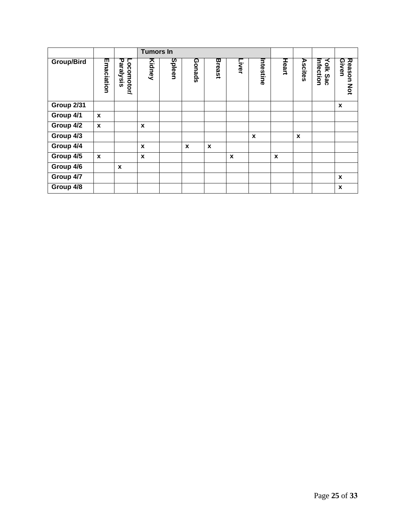|            |                  |                         | <b>Tumors In</b> |        |             |                  |       |              |       |         |                       |                       |
|------------|------------------|-------------------------|------------------|--------|-------------|------------------|-------|--------------|-------|---------|-----------------------|-----------------------|
| Group/Bird | Emaciation       | Paralysis<br>Locomotor/ | Kidney           | Spleen | Gonads      | <b>Breast</b>    | Liver | Intestine    | Heart | Ascites | Infection<br>Yolk Sac | Reason<br>Given<br>ΜÓ |
| Group 2/31 |                  |                         |                  |        |             |                  |       |              |       |         |                       | X                     |
| Group 4/1  | X                |                         |                  |        |             |                  |       |              |       |         |                       |                       |
| Group 4/2  | $\boldsymbol{x}$ |                         | X                |        |             |                  |       |              |       |         |                       |                       |
| Group 4/3  |                  |                         |                  |        |             |                  |       | $\mathbf{x}$ |       | X       |                       |                       |
| Group 4/4  |                  |                         | $\boldsymbol{x}$ |        | $\mathbf x$ | $\boldsymbol{x}$ |       |              |       |         |                       |                       |
| Group 4/5  | $\mathbf x$      |                         | $\boldsymbol{x}$ |        |             |                  | X     |              | X     |         |                       |                       |
| Group 4/6  |                  | X                       |                  |        |             |                  |       |              |       |         |                       |                       |
| Group 4/7  |                  |                         |                  |        |             |                  |       |              |       |         |                       | X                     |
| Group 4/8  |                  |                         |                  |        |             |                  |       |              |       |         |                       | $\pmb{\chi}$          |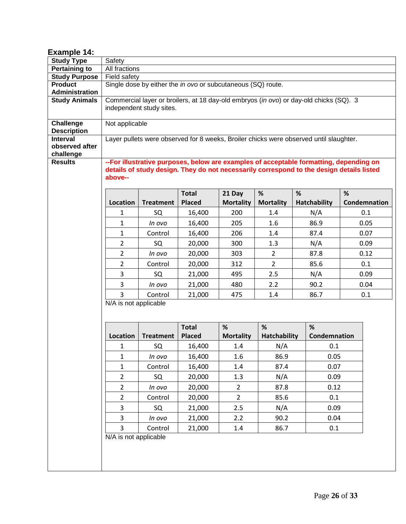<span id="page-25-0"></span>

| Example 14:                      |                       |                                                                                                                                                                                     |                                                              |                            |                       |                                                                                        |                   |  |  |  |  |  |  |  |
|----------------------------------|-----------------------|-------------------------------------------------------------------------------------------------------------------------------------------------------------------------------------|--------------------------------------------------------------|----------------------------|-----------------------|----------------------------------------------------------------------------------------|-------------------|--|--|--|--|--|--|--|
| <b>Study Type</b>                | Safety                |                                                                                                                                                                                     |                                                              |                            |                       |                                                                                        |                   |  |  |  |  |  |  |  |
| <b>Pertaining to</b>             | All fractions         |                                                                                                                                                                                     |                                                              |                            |                       |                                                                                        |                   |  |  |  |  |  |  |  |
| <b>Study Purpose</b>             | Field safety          |                                                                                                                                                                                     |                                                              |                            |                       |                                                                                        |                   |  |  |  |  |  |  |  |
| <b>Product</b><br>Administration |                       |                                                                                                                                                                                     | Single dose by either the in ovo or subcutaneous (SQ) route. |                            |                       |                                                                                        |                   |  |  |  |  |  |  |  |
| <b>Study Animals</b>             |                       |                                                                                                                                                                                     |                                                              |                            |                       | Commercial layer or broilers, at 18 day-old embryos (in ovo) or day-old chicks (SQ). 3 |                   |  |  |  |  |  |  |  |
|                                  |                       | independent study sites.                                                                                                                                                            |                                                              |                            |                       |                                                                                        |                   |  |  |  |  |  |  |  |
|                                  |                       |                                                                                                                                                                                     |                                                              |                            |                       |                                                                                        |                   |  |  |  |  |  |  |  |
| Challenge                        | Not applicable        |                                                                                                                                                                                     |                                                              |                            |                       |                                                                                        |                   |  |  |  |  |  |  |  |
| <b>Description</b><br>Interval   |                       |                                                                                                                                                                                     |                                                              |                            |                       | Layer pullets were observed for 8 weeks, Broiler chicks were observed until slaughter. |                   |  |  |  |  |  |  |  |
| observed after                   |                       |                                                                                                                                                                                     |                                                              |                            |                       |                                                                                        |                   |  |  |  |  |  |  |  |
| challenge                        |                       |                                                                                                                                                                                     |                                                              |                            |                       |                                                                                        |                   |  |  |  |  |  |  |  |
| <b>Results</b>                   | above--               | -- For illustrative purposes, below are examples of acceptable formatting, depending on<br>details of study design. They do not necessarily correspond to the design details listed |                                                              |                            |                       |                                                                                        |                   |  |  |  |  |  |  |  |
|                                  | Location              | <b>Treatment</b>                                                                                                                                                                    | <b>Total</b><br><b>Placed</b>                                | 21 Day<br><b>Mortality</b> | %<br><b>Mortality</b> | %<br><b>Hatchability</b>                                                               | %<br>Condemnation |  |  |  |  |  |  |  |
|                                  | 1                     | SQ                                                                                                                                                                                  | 16,400                                                       | 200                        | 1.4                   | N/A                                                                                    | 0.1               |  |  |  |  |  |  |  |
|                                  | 1                     | In ovo                                                                                                                                                                              | 16,400                                                       | 205                        | 1.6                   | 86.9                                                                                   | 0.05              |  |  |  |  |  |  |  |
|                                  | $\mathbf{1}$          | Control                                                                                                                                                                             | 16,400                                                       | 206                        | 1.4                   | 87.4                                                                                   | 0.07              |  |  |  |  |  |  |  |
|                                  | $\overline{2}$        | SQ                                                                                                                                                                                  | 20,000                                                       | 300                        | 1.3                   | 0.09                                                                                   |                   |  |  |  |  |  |  |  |
|                                  | $\overline{2}$        | In ovo                                                                                                                                                                              | 20,000                                                       | 303                        | $\overline{2}$        | 87.8                                                                                   | 0.12              |  |  |  |  |  |  |  |
|                                  | $\overline{2}$        | Control                                                                                                                                                                             | 20,000                                                       | 312                        | $\overline{2}$        | 85.6                                                                                   | 0.1               |  |  |  |  |  |  |  |
|                                  | 3                     | SQ                                                                                                                                                                                  | 21,000                                                       | 495                        | 2.5                   | N/A                                                                                    | 0.09              |  |  |  |  |  |  |  |
|                                  | 3                     | In ovo                                                                                                                                                                              | 21,000                                                       | 480                        | 2.2                   | 90.2                                                                                   | 0.04              |  |  |  |  |  |  |  |
|                                  | 3                     | Control                                                                                                                                                                             | 21,000                                                       | 475                        | 1.4                   | 86.7                                                                                   | 0.1               |  |  |  |  |  |  |  |
|                                  | N/A is not applicable |                                                                                                                                                                                     |                                                              |                            |                       |                                                                                        |                   |  |  |  |  |  |  |  |
|                                  |                       |                                                                                                                                                                                     | <b>Total</b>                                                 | %                          | %                     | %                                                                                      |                   |  |  |  |  |  |  |  |
|                                  | Location              | <b>Treatment</b>                                                                                                                                                                    | <b>Placed</b>                                                | <b>Mortality</b>           | <b>Hatchability</b>   | Condemnation                                                                           |                   |  |  |  |  |  |  |  |
|                                  | 1                     | SQ                                                                                                                                                                                  | 16,400                                                       | 1.4                        | N/A                   | 0.1                                                                                    |                   |  |  |  |  |  |  |  |
|                                  | 1                     | In ovo                                                                                                                                                                              | 16,400                                                       | 1.6                        | 86.9                  | 0.05                                                                                   |                   |  |  |  |  |  |  |  |
|                                  | $\mathbf{1}$          | Control                                                                                                                                                                             | 16,400                                                       | 1.4                        | 87.4                  | 0.07                                                                                   |                   |  |  |  |  |  |  |  |
|                                  | $\overline{2}$        | SQ                                                                                                                                                                                  | 20,000                                                       | 1.3                        | N/A                   | 0.09                                                                                   |                   |  |  |  |  |  |  |  |
|                                  | $\overline{2}$        | In ovo                                                                                                                                                                              | 20,000                                                       | $\overline{2}$             | 87.8                  | 0.12                                                                                   |                   |  |  |  |  |  |  |  |
|                                  | $\overline{2}$        | Control                                                                                                                                                                             | 20,000                                                       | $\overline{2}$             | 85.6                  | 0.1                                                                                    |                   |  |  |  |  |  |  |  |
|                                  | 3                     | SQ                                                                                                                                                                                  | 21,000                                                       | 2.5                        | N/A                   | 0.09                                                                                   |                   |  |  |  |  |  |  |  |
|                                  | 3                     | In ovo                                                                                                                                                                              | 21,000                                                       | 2.2                        | 90.2                  | 0.04                                                                                   |                   |  |  |  |  |  |  |  |
|                                  | $\overline{3}$        | Control                                                                                                                                                                             | 21,000                                                       | 1.4                        | 86.7                  | 0.1                                                                                    |                   |  |  |  |  |  |  |  |
|                                  | N/A is not applicable |                                                                                                                                                                                     |                                                              |                            |                       |                                                                                        |                   |  |  |  |  |  |  |  |
|                                  |                       |                                                                                                                                                                                     |                                                              |                            |                       |                                                                                        |                   |  |  |  |  |  |  |  |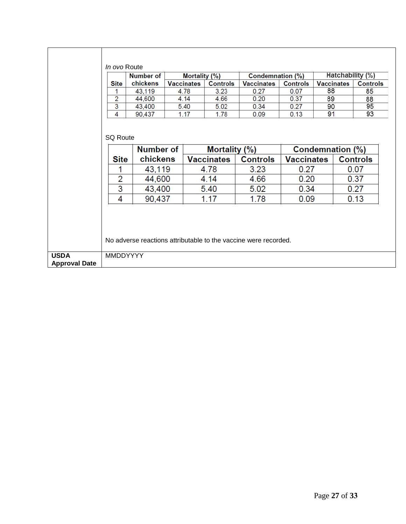|                      | In ovo Route                                     | Number of             |                   | <b>Mortality (%)</b> |                 | Condemnation (%)                                                | <b>Hatchability (%)</b> |                   |                 |                 |
|----------------------|--------------------------------------------------|-----------------------|-------------------|----------------------|-----------------|-----------------------------------------------------------------|-------------------------|-------------------|-----------------|-----------------|
|                      | <b>Site</b>                                      | chickens              | <b>Vaccinates</b> |                      | <b>Controls</b> | <b>Vaccinates</b>                                               | <b>Controls</b>         | <b>Vaccinates</b> |                 | <b>Controls</b> |
|                      | 1                                                | 43,119                | 4.78              |                      | 3.23            | 0.27                                                            | 0.07                    | 88                |                 | 85              |
|                      | 2                                                | 44,600                | 4.14              |                      | 4.66            | 0.20                                                            | 0.37                    | 89                |                 | 88              |
|                      | 3                                                | 43,400                | 5.40              |                      | 5.02            | 0.34                                                            | 0.27                    | 90                |                 | 95              |
|                      | 4                                                | 90,437                | 1.17              |                      | 1.78            | 0.09                                                            | 0.13                    | 91                |                 | 93              |
|                      | <b>SQ Route</b><br>Number of<br>Condemnation (%) |                       |                   |                      |                 |                                                                 |                         |                   |                 |                 |
|                      |                                                  |                       |                   | Mortality (%)        |                 |                                                                 |                         |                   |                 |                 |
|                      | <b>Site</b>                                      | chickens              | <b>Vaccinates</b> |                      |                 | <b>Controls</b>                                                 | <b>Vaccinates</b>       |                   | <b>Controls</b> |                 |
|                      |                                                  |                       | 43,119            |                      | 4.78            | 3.23                                                            | 0.27                    |                   | 0.07            |                 |
|                      | $\overline{2}$                                   | 44,600                |                   |                      | 4.14            | 4.66                                                            | 0.20                    |                   | 0.37            |                 |
|                      | 3                                                | 43,400<br>4<br>90,437 |                   |                      | 5.40            | 5.02                                                            | 0.34                    |                   |                 | 0.27            |
|                      |                                                  |                       |                   |                      | 1.17            | 1.78                                                            | 0.09                    |                   |                 | 0.13            |
| <b>USDA</b>          | <b>MMDDYYYY</b>                                  |                       |                   |                      |                 | No adverse reactions attributable to the vaccine were recorded. |                         |                   |                 |                 |
| <b>Approval Date</b> |                                                  |                       |                   |                      |                 |                                                                 |                         |                   |                 |                 |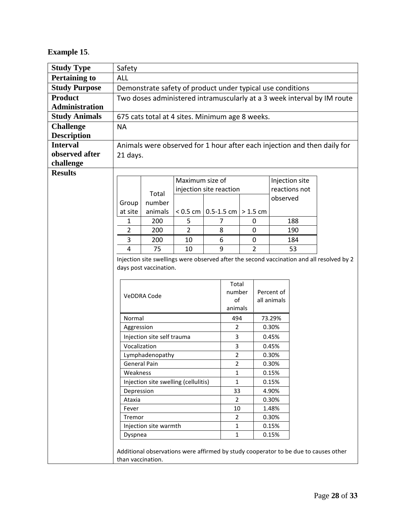## <span id="page-27-0"></span>**Example 15**.

| <b>Study Type</b>     | Safety                                                                                    |                                                                                     |                         |                      |                         |                |             |                           |     |                                                                          |
|-----------------------|-------------------------------------------------------------------------------------------|-------------------------------------------------------------------------------------|-------------------------|----------------------|-------------------------|----------------|-------------|---------------------------|-----|--------------------------------------------------------------------------|
| <b>Pertaining to</b>  | <b>ALL</b>                                                                                |                                                                                     |                         |                      |                         |                |             |                           |     |                                                                          |
| <b>Study Purpose</b>  | Demonstrate safety of product under typical use conditions                                |                                                                                     |                         |                      |                         |                |             |                           |     |                                                                          |
| <b>Product</b>        | Two doses administered intramuscularly at a 3 week interval by IM route                   |                                                                                     |                         |                      |                         |                |             |                           |     |                                                                          |
| <b>Administration</b> |                                                                                           |                                                                                     |                         |                      |                         |                |             |                           |     |                                                                          |
| <b>Study Animals</b>  |                                                                                           | 675 cats total at 4 sites. Minimum age 8 weeks.                                     |                         |                      |                         |                |             |                           |     |                                                                          |
| <b>Challenge</b>      | <b>NA</b>                                                                                 |                                                                                     |                         |                      |                         |                |             |                           |     |                                                                          |
| <b>Description</b>    |                                                                                           |                                                                                     |                         |                      |                         |                |             |                           |     |                                                                          |
| <b>Interval</b>       |                                                                                           |                                                                                     |                         |                      |                         |                |             |                           |     | Animals were observed for 1 hour after each injection and then daily for |
| observed after        | 21 days.                                                                                  |                                                                                     |                         |                      |                         |                |             |                           |     |                                                                          |
| challenge             |                                                                                           |                                                                                     |                         |                      |                         |                |             |                           |     |                                                                          |
| <b>Results</b>        |                                                                                           |                                                                                     |                         |                      |                         |                |             |                           |     |                                                                          |
|                       |                                                                                           |                                                                                     | Maximum size of         |                      |                         |                |             | Injection site            |     |                                                                          |
|                       |                                                                                           | Total                                                                               | injection site reaction |                      |                         |                |             | reactions not<br>observed |     |                                                                          |
|                       | Group                                                                                     | number                                                                              |                         |                      |                         |                |             |                           |     |                                                                          |
|                       | at site                                                                                   | animals                                                                             | $< 0.5$ cm $\vert$      |                      | 0.5-1.5 cm $  > 1.5$ cm |                |             |                           |     |                                                                          |
|                       | 1                                                                                         | 200                                                                                 | 5                       |                      | 7                       |                | 0           |                           | 188 |                                                                          |
|                       | $\overline{2}$                                                                            | 200                                                                                 | $\overline{2}$          |                      | 8                       |                | 0           |                           | 190 |                                                                          |
|                       | 3                                                                                         | 200                                                                                 | 10                      |                      | 6                       |                | $\mathbf 0$ |                           | 184 |                                                                          |
|                       | 4<br>75                                                                                   |                                                                                     | 10                      |                      | 9<br>$\overline{2}$     |                |             | 53                        |     |                                                                          |
|                       | Injection site swellings were observed after the second vaccination and all resolved by 2 |                                                                                     |                         |                      |                         |                |             |                           |     |                                                                          |
|                       | days post vaccination.                                                                    |                                                                                     |                         |                      |                         |                |             |                           |     |                                                                          |
|                       |                                                                                           |                                                                                     |                         |                      | Total                   |                |             |                           |     |                                                                          |
|                       |                                                                                           |                                                                                     |                         |                      | number                  |                |             | Percent of                |     |                                                                          |
|                       | VeDDRA Code                                                                               |                                                                                     |                         |                      | of                      |                |             | all animals               |     |                                                                          |
|                       |                                                                                           |                                                                                     |                         |                      | animals                 |                |             |                           |     |                                                                          |
|                       | Normal                                                                                    |                                                                                     |                         |                      | 494                     |                |             | 73.29%                    |     |                                                                          |
|                       | Aggression                                                                                |                                                                                     |                         | $\overline{2}$       |                         |                | 0.30%       |                           |     |                                                                          |
|                       | Injection site self trauma                                                                |                                                                                     |                         | 3                    |                         |                | 0.45%       |                           |     |                                                                          |
|                       | Vocalization                                                                              |                                                                                     |                         | 3                    |                         |                | 0.45%       |                           |     |                                                                          |
|                       | Lymphadenopathy                                                                           |                                                                                     |                         | $\overline{2}$       |                         |                | 0.30%       |                           |     |                                                                          |
|                       | <b>General Pain</b>                                                                       |                                                                                     |                         | 2                    |                         |                | 0.30%       |                           |     |                                                                          |
|                       | Weakness                                                                                  |                                                                                     |                         | 1                    |                         | 0.15%          |             |                           |     |                                                                          |
|                       | Injection site swelling (cellulitis)                                                      |                                                                                     |                         | $\mathbf{1}$         |                         | 0.15%          |             |                           |     |                                                                          |
|                       | Depression                                                                                |                                                                                     |                         | 33<br>$\overline{2}$ |                         | 4.90%<br>0.30% |             |                           |     |                                                                          |
|                       | Ataxia<br>Fever                                                                           |                                                                                     |                         | 10                   |                         |                | 1.48%       |                           |     |                                                                          |
|                       | Tremor                                                                                    |                                                                                     |                         |                      | $\overline{2}$          |                |             | 0.30%                     |     |                                                                          |
|                       | Injection site warmth                                                                     |                                                                                     |                         | $\mathbf{1}$         |                         |                | 0.15%       |                           |     |                                                                          |
|                       | Dyspnea                                                                                   |                                                                                     |                         | $\mathbf{1}$         |                         |                | 0.15%       |                           |     |                                                                          |
|                       |                                                                                           |                                                                                     |                         |                      |                         |                |             |                           |     |                                                                          |
|                       |                                                                                           | Additional observations were affirmed by study cooperator to be due to causes other |                         |                      |                         |                |             |                           |     |                                                                          |
|                       | than vaccination.                                                                         |                                                                                     |                         |                      |                         |                |             |                           |     |                                                                          |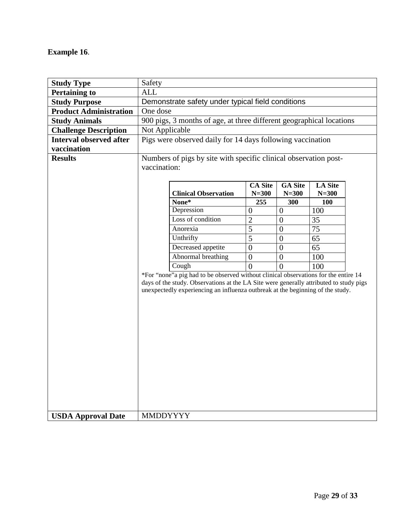#### <span id="page-28-0"></span>**Example 16**.

| <b>Study Type</b>              | Safety                                                           |                                                                                              |                  |                |                |  |  |  |
|--------------------------------|------------------------------------------------------------------|----------------------------------------------------------------------------------------------|------------------|----------------|----------------|--|--|--|
| <b>Pertaining to</b>           | <b>ALL</b>                                                       |                                                                                              |                  |                |                |  |  |  |
| <b>Study Purpose</b>           | Demonstrate safety under typical field conditions                |                                                                                              |                  |                |                |  |  |  |
| <b>Product Administration</b>  | One dose                                                         |                                                                                              |                  |                |                |  |  |  |
| <b>Study Animals</b>           |                                                                  | 900 pigs, 3 months of age, at three different geographical locations                         |                  |                |                |  |  |  |
| <b>Challenge Description</b>   |                                                                  | Not Applicable                                                                               |                  |                |                |  |  |  |
| <b>Interval observed after</b> | Pigs were observed daily for 14 days following vaccination       |                                                                                              |                  |                |                |  |  |  |
| vaccination                    |                                                                  |                                                                                              |                  |                |                |  |  |  |
| <b>Results</b>                 | Numbers of pigs by site with specific clinical observation post- |                                                                                              |                  |                |                |  |  |  |
|                                | vaccination:                                                     |                                                                                              |                  |                |                |  |  |  |
|                                |                                                                  |                                                                                              |                  |                |                |  |  |  |
|                                |                                                                  |                                                                                              | <b>CA Site</b>   | <b>GA</b> Site | <b>LA Site</b> |  |  |  |
|                                |                                                                  | <b>Clinical Observation</b>                                                                  | $N = 300$        | $N = 300$      | $N = 300$      |  |  |  |
|                                |                                                                  | None*                                                                                        | 255              | 300            | 100            |  |  |  |
|                                |                                                                  | Depression<br>Loss of condition                                                              | $\overline{0}$   | $\overline{0}$ | 100            |  |  |  |
|                                |                                                                  |                                                                                              | $\sqrt{2}$       | $\theta$       | 35             |  |  |  |
|                                |                                                                  | Anorexia<br>Unthrifty                                                                        | 5                | $\theta$       | 75             |  |  |  |
|                                |                                                                  |                                                                                              | 5                | $\overline{0}$ | 65             |  |  |  |
|                                |                                                                  | Decreased appetite                                                                           | $\boldsymbol{0}$ | $\overline{0}$ | 65             |  |  |  |
|                                |                                                                  | Abnormal breathing                                                                           | $\boldsymbol{0}$ | $\mathbf{0}$   | 100            |  |  |  |
|                                |                                                                  | Cough<br>*For "none"a pig had to be observed without clinical observations for the entire 14 | 0                | $\Omega$       | 100            |  |  |  |
|                                |                                                                  | days of the study. Observations at the LA Site were generally attributed to study pigs       |                  |                |                |  |  |  |
|                                |                                                                  | unexpectedly experiencing an influenza outbreak at the beginning of the study.               |                  |                |                |  |  |  |
|                                |                                                                  |                                                                                              |                  |                |                |  |  |  |
|                                |                                                                  |                                                                                              |                  |                |                |  |  |  |
|                                |                                                                  |                                                                                              |                  |                |                |  |  |  |
|                                |                                                                  |                                                                                              |                  |                |                |  |  |  |
|                                |                                                                  |                                                                                              |                  |                |                |  |  |  |
|                                |                                                                  |                                                                                              |                  |                |                |  |  |  |
|                                |                                                                  |                                                                                              |                  |                |                |  |  |  |
|                                |                                                                  |                                                                                              |                  |                |                |  |  |  |
|                                |                                                                  |                                                                                              |                  |                |                |  |  |  |
|                                |                                                                  |                                                                                              |                  |                |                |  |  |  |
|                                |                                                                  |                                                                                              |                  |                |                |  |  |  |
|                                |                                                                  |                                                                                              |                  |                |                |  |  |  |
|                                |                                                                  |                                                                                              |                  |                |                |  |  |  |
| <b>USDA Approval Date</b>      | <b>MMDDYYYY</b>                                                  |                                                                                              |                  |                |                |  |  |  |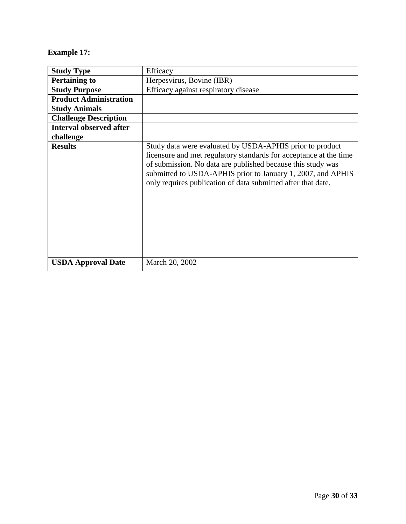## <span id="page-29-0"></span>**Example 17:**

| <b>Study Type</b>              | Efficacy                                                                                                                                                                                                                                                                                                                    |
|--------------------------------|-----------------------------------------------------------------------------------------------------------------------------------------------------------------------------------------------------------------------------------------------------------------------------------------------------------------------------|
| <b>Pertaining to</b>           | Herpesvirus, Bovine (IBR)                                                                                                                                                                                                                                                                                                   |
| <b>Study Purpose</b>           | Efficacy against respiratory disease                                                                                                                                                                                                                                                                                        |
| <b>Product Administration</b>  |                                                                                                                                                                                                                                                                                                                             |
| <b>Study Animals</b>           |                                                                                                                                                                                                                                                                                                                             |
| <b>Challenge Description</b>   |                                                                                                                                                                                                                                                                                                                             |
| <b>Interval observed after</b> |                                                                                                                                                                                                                                                                                                                             |
| challenge                      |                                                                                                                                                                                                                                                                                                                             |
| <b>Results</b>                 | Study data were evaluated by USDA-APHIS prior to product<br>licensure and met regulatory standards for acceptance at the time<br>of submission. No data are published because this study was<br>submitted to USDA-APHIS prior to January 1, 2007, and APHIS<br>only requires publication of data submitted after that date. |
| <b>USDA Approval Date</b>      | March 20, 2002                                                                                                                                                                                                                                                                                                              |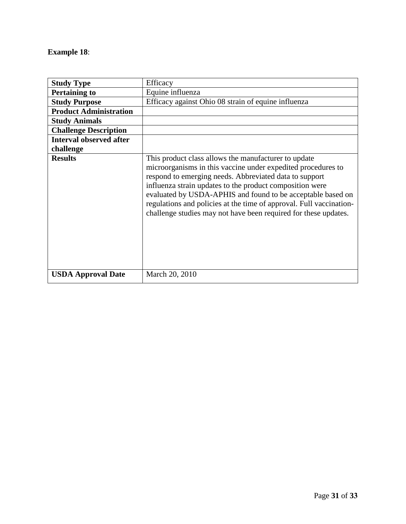#### <span id="page-30-0"></span>**Example 18**:

| <b>Study Type</b>              | Efficacy                                                                                                                                                                                                                                                                                                                                                                                                                                            |
|--------------------------------|-----------------------------------------------------------------------------------------------------------------------------------------------------------------------------------------------------------------------------------------------------------------------------------------------------------------------------------------------------------------------------------------------------------------------------------------------------|
| <b>Pertaining to</b>           | Equine influenza                                                                                                                                                                                                                                                                                                                                                                                                                                    |
| <b>Study Purpose</b>           | Efficacy against Ohio 08 strain of equine influenza                                                                                                                                                                                                                                                                                                                                                                                                 |
| <b>Product Administration</b>  |                                                                                                                                                                                                                                                                                                                                                                                                                                                     |
| <b>Study Animals</b>           |                                                                                                                                                                                                                                                                                                                                                                                                                                                     |
| <b>Challenge Description</b>   |                                                                                                                                                                                                                                                                                                                                                                                                                                                     |
| <b>Interval observed after</b> |                                                                                                                                                                                                                                                                                                                                                                                                                                                     |
| challenge                      |                                                                                                                                                                                                                                                                                                                                                                                                                                                     |
| <b>Results</b>                 | This product class allows the manufacturer to update<br>microorganisms in this vaccine under expedited procedures to<br>respond to emerging needs. Abbreviated data to support<br>influenza strain updates to the product composition were<br>evaluated by USDA-APHIS and found to be acceptable based on<br>regulations and policies at the time of approval. Full vaccination-<br>challenge studies may not have been required for these updates. |
| <b>USDA Approval Date</b>      | March 20, 2010                                                                                                                                                                                                                                                                                                                                                                                                                                      |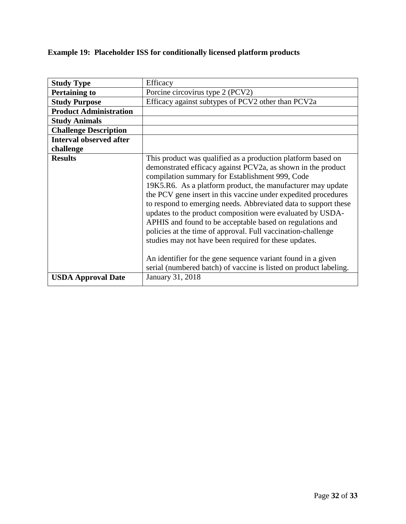# <span id="page-31-0"></span>**Example 19: Placeholder ISS for conditionally licensed platform products**

| <b>Study Type</b>              | Efficacy                                                                                                                                                                                                                                                                                                                                                                                                                                                                                                                                                                                                                                                                                                                                                                     |
|--------------------------------|------------------------------------------------------------------------------------------------------------------------------------------------------------------------------------------------------------------------------------------------------------------------------------------------------------------------------------------------------------------------------------------------------------------------------------------------------------------------------------------------------------------------------------------------------------------------------------------------------------------------------------------------------------------------------------------------------------------------------------------------------------------------------|
| <b>Pertaining to</b>           | Porcine circovirus type 2 (PCV2)                                                                                                                                                                                                                                                                                                                                                                                                                                                                                                                                                                                                                                                                                                                                             |
| <b>Study Purpose</b>           | Efficacy against subtypes of PCV2 other than PCV2a                                                                                                                                                                                                                                                                                                                                                                                                                                                                                                                                                                                                                                                                                                                           |
| <b>Product Administration</b>  |                                                                                                                                                                                                                                                                                                                                                                                                                                                                                                                                                                                                                                                                                                                                                                              |
| <b>Study Animals</b>           |                                                                                                                                                                                                                                                                                                                                                                                                                                                                                                                                                                                                                                                                                                                                                                              |
| <b>Challenge Description</b>   |                                                                                                                                                                                                                                                                                                                                                                                                                                                                                                                                                                                                                                                                                                                                                                              |
| <b>Interval observed after</b> |                                                                                                                                                                                                                                                                                                                                                                                                                                                                                                                                                                                                                                                                                                                                                                              |
| challenge                      |                                                                                                                                                                                                                                                                                                                                                                                                                                                                                                                                                                                                                                                                                                                                                                              |
| <b>Results</b>                 | This product was qualified as a production platform based on<br>demonstrated efficacy against PCV2a, as shown in the product<br>compilation summary for Establishment 999, Code<br>19K5.R6. As a platform product, the manufacturer may update<br>the PCV gene insert in this vaccine under expedited procedures<br>to respond to emerging needs. Abbreviated data to support these<br>updates to the product composition were evaluated by USDA-<br>APHIS and found to be acceptable based on regulations and<br>policies at the time of approval. Full vaccination-challenge<br>studies may not have been required for these updates.<br>An identifier for the gene sequence variant found in a given<br>serial (numbered batch) of vaccine is listed on product labeling. |
| <b>USDA Approval Date</b>      | January 31, 2018                                                                                                                                                                                                                                                                                                                                                                                                                                                                                                                                                                                                                                                                                                                                                             |